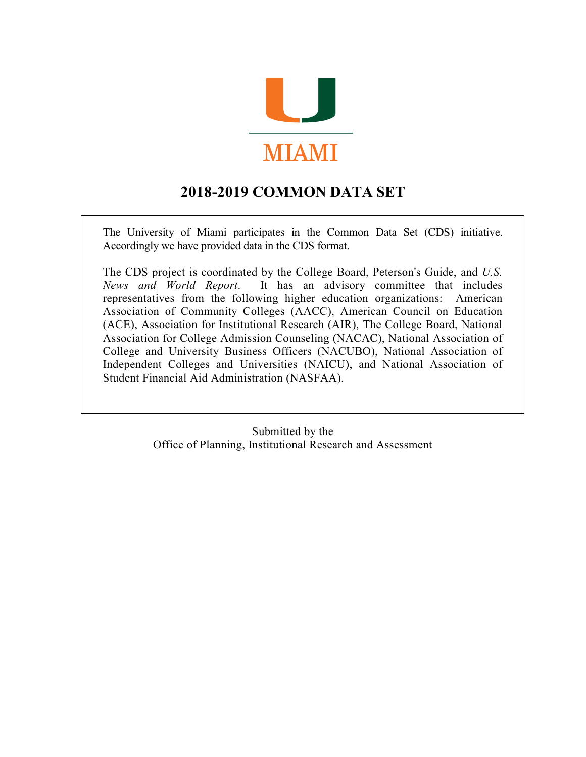

# **2018-2019 COMMON DATA SET**

The University of Miami participates in the Common Data Set (CDS) initiative. Accordingly we have provided data in the CDS format.

The CDS project is coordinated by the College Board, Peterson's Guide, and *U.S. News and World Report*. It has an advisory committee that includes representatives from the following higher education organizations: American Association of Community Colleges (AACC), American Council on Education (ACE), Association for Institutional Research (AIR), The College Board, National Association for College Admission Counseling (NACAC), National Association of College and University Business Officers (NACUBO), National Association of Independent Colleges and Universities (NAICU), and National Association of Student Financial Aid Administration (NASFAA).

> Submitted by the Office of Planning, Institutional Research and Assessment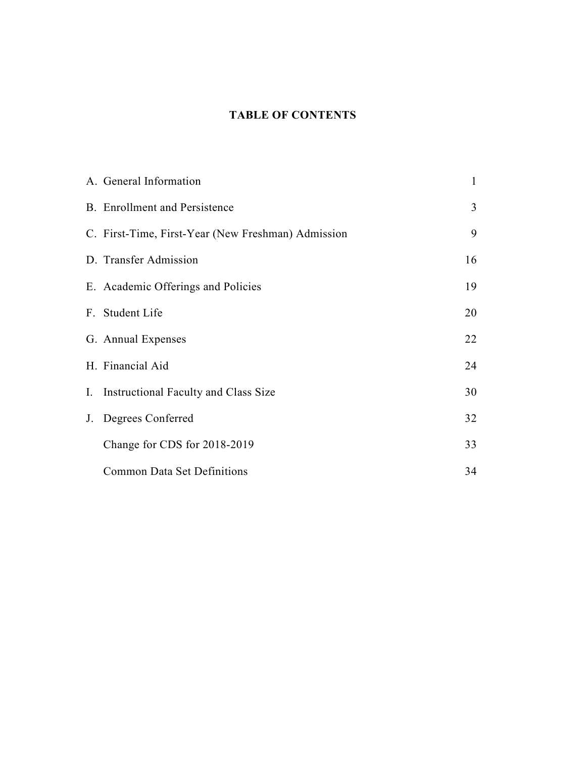### **TABLE OF CONTENTS**

| A. General Information                             | $\mathbf{1}$ |
|----------------------------------------------------|--------------|
| <b>B.</b> Enrollment and Persistence               | 3            |
| C. First-Time, First-Year (New Freshman) Admission | 9            |
| D. Transfer Admission                              | 16           |
| E. Academic Offerings and Policies                 | 19           |
| F. Student Life                                    | 20           |
| G. Annual Expenses                                 | 22           |
| H. Financial Aid                                   | 24           |
| I. Instructional Faculty and Class Size            | 30           |
| J. Degrees Conferred                               | 32           |
| Change for CDS for 2018-2019                       | 33           |
| <b>Common Data Set Definitions</b>                 | 34           |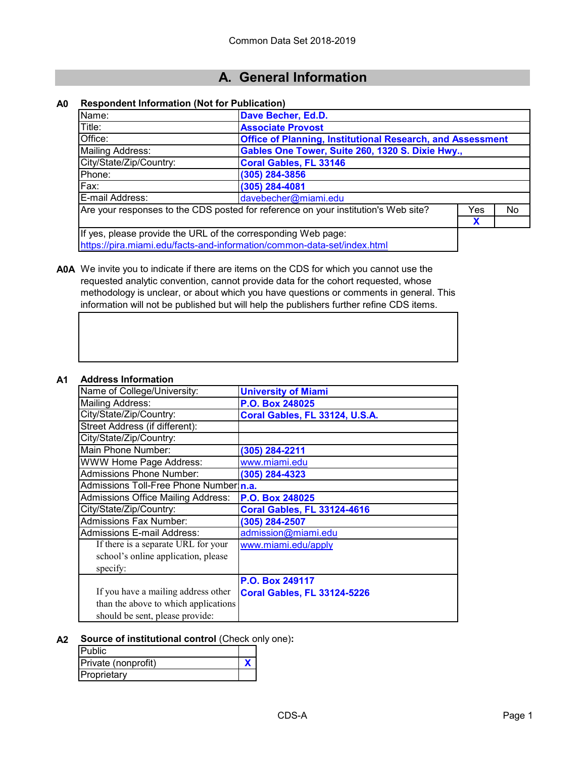# **A. General Information**

#### **A0 Respondent Information (Not for Publication)**

| Name:                                                                              | Dave Becher, Ed.D.            |                                                                   |    |  |  |  |
|------------------------------------------------------------------------------------|-------------------------------|-------------------------------------------------------------------|----|--|--|--|
| Title:                                                                             | <b>Associate Provost</b>      |                                                                   |    |  |  |  |
| Office:                                                                            |                               | <b>Office of Planning, Institutional Research, and Assessment</b> |    |  |  |  |
| <b>Mailing Address:</b>                                                            |                               | Gables One Tower, Suite 260, 1320 S. Dixie Hwy.,                  |    |  |  |  |
| City/State/Zip/Country:                                                            | <b>Coral Gables, FL 33146</b> |                                                                   |    |  |  |  |
| Phone:                                                                             | $(305)$ 284-3856              |                                                                   |    |  |  |  |
| Fax:                                                                               | (305) 284-4081                |                                                                   |    |  |  |  |
| davebecher@miami.edu<br>E-mail Address:                                            |                               |                                                                   |    |  |  |  |
| Are your responses to the CDS posted for reference on your institution's Web site? |                               |                                                                   | No |  |  |  |
| X                                                                                  |                               |                                                                   |    |  |  |  |
| If yes, please provide the URL of the corresponding Web page:                      |                               |                                                                   |    |  |  |  |
| https://pira.miami.edu/facts-and-information/common-data-set/index.html            |                               |                                                                   |    |  |  |  |

**A0A** We invite you to indicate if there are items on the CDS for which you cannot use the requested analytic convention, cannot provide data for the cohort requested, whose methodology is unclear, or about which you have questions or comments in general. This information will not be published but will help the publishers further refine CDS items.

#### **A1 Address Information**

| TULIO IIII ULIILIU                        |                                    |
|-------------------------------------------|------------------------------------|
| Name of College/University:               | <b>University of Miami</b>         |
| <b>Mailing Address:</b>                   | P.O. Box 248025                    |
| City/State/Zip/Country:                   | Coral Gables, FL 33124, U.S.A.     |
| Street Address (if different):            |                                    |
| City/State/Zip/Country:                   |                                    |
| Main Phone Number:                        | (305) 284-2211                     |
| <b>WWW Home Page Address:</b>             | www.miami.edu                      |
| <b>Admissions Phone Number:</b>           | (305) 284-4323                     |
| Admissions Toll-Free Phone Number n.a.    |                                    |
| <b>Admissions Office Mailing Address:</b> | P.O. Box 248025                    |
| City/State/Zip/Country:                   | <b>Coral Gables, FL 33124-4616</b> |
| <b>Admissions Fax Number:</b>             | (305) 284-2507                     |
| Admissions E-mail Address:                | admission@miami.edu                |
| If there is a separate URL for your       | www.miami.edu/apply                |
| school's online application, please       |                                    |
| specify:                                  |                                    |
|                                           | P.O. Box 249117                    |
| If you have a mailing address other       | <b>Coral Gables, FL 33124-5226</b> |
| than the above to which applications      |                                    |
| should be sent, please provide:           |                                    |

#### **A2 Source of institutional control** (Check only one)**:**

| <b>Public</b>       |  |
|---------------------|--|
| Private (nonprofit) |  |
| Proprietary         |  |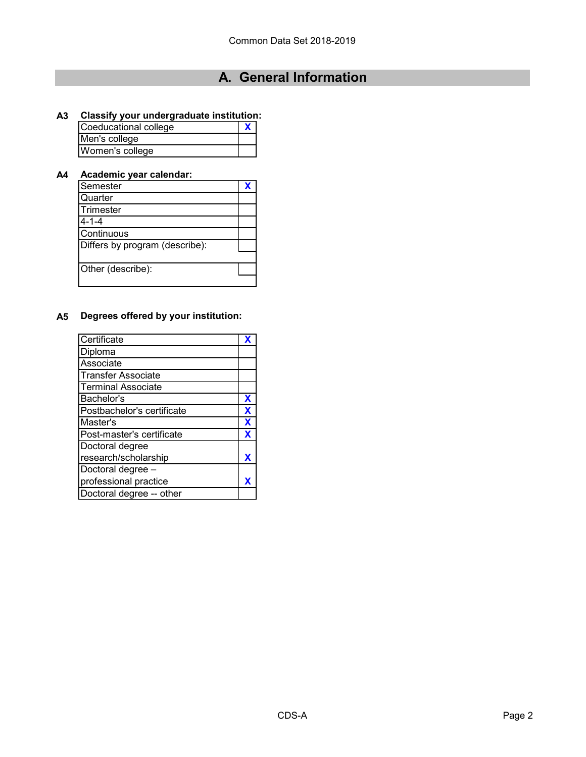# **A. General Information**

### **A3 Classify your undergraduate institution:**

| Coeducational college |  |  |
|-----------------------|--|--|
| Men's college         |  |  |
| Women's college       |  |  |

### **A4 Academic year calendar:**

| Semester                       |  |
|--------------------------------|--|
| Quarter                        |  |
| Trimester                      |  |
| $4 - 1 - 4$                    |  |
| Continuous                     |  |
| Differs by program (describe): |  |
|                                |  |
| Other (describe):              |  |
|                                |  |

### **A5 Degrees offered by your institution:**

| Certificate                |   |
|----------------------------|---|
| Diploma                    |   |
| Associate                  |   |
| <b>Transfer Associate</b>  |   |
| <b>Terminal Associate</b>  |   |
| Bachelor's                 | X |
| Postbachelor's certificate | X |
| Master's                   | X |
| Post-master's certificate  | X |
| Doctoral degree            |   |
| research/scholarship       |   |
| Doctoral degree -          |   |
| professional practice      |   |
| Doctoral degree -- other   |   |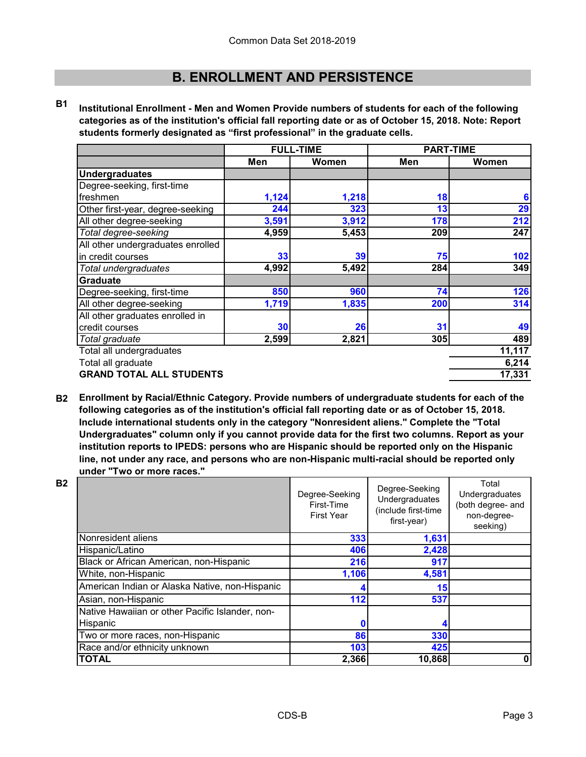**B1 Institutional Enrollment - Men and Women Provide numbers of students for each of the following categories as of the institution's official fall reporting date or as of October 15, 2018. Note: Report students formerly designated as "first professional" in the graduate cells.**

|                                   | <b>FULL-TIME</b> |       | <b>PART-TIME</b> |        |
|-----------------------------------|------------------|-------|------------------|--------|
|                                   | Men              | Women | Men              | Women  |
| <b>Undergraduates</b>             |                  |       |                  |        |
| Degree-seeking, first-time        |                  |       |                  |        |
| freshmen                          | 1,124            | 1,218 | 18               | 6      |
| Other first-year, degree-seeking  | 244              | 323   | 13               | 29     |
| All other degree-seeking          | 3,591            | 3,912 | 178              | 212    |
| Total degree-seeking              | 4,959            | 5,453 | 209              | 247    |
| All other undergraduates enrolled |                  |       |                  |        |
| in credit courses                 | 33               | 39    | 75               | 102    |
| Total undergraduates              | 4,992            | 5,492 | 284              | 349    |
| <b>Graduate</b>                   |                  |       |                  |        |
| Degree-seeking, first-time        | 850              | 960   | 74               | 126    |
| All other degree-seeking          | 1,719            | 1,835 | 200              | 314    |
| All other graduates enrolled in   |                  |       |                  |        |
| credit courses                    | 30               | 26    | 31               | 49     |
| Total graduate                    | 2,599            | 2,821 | 305              | 489    |
| Total all undergraduates          |                  |       |                  | 11,117 |
| Total all graduate                |                  |       | 6,214            |        |
| <b>GRAND TOTAL ALL STUDENTS</b>   |                  |       |                  | 17,331 |

**B2 Enrollment by Racial/Ethnic Category. Provide numbers of undergraduate students for each of the following categories as of the institution's official fall reporting date or as of October 15, 2018. Include international students only in the category "Nonresident aliens." Complete the "Total Undergraduates" column only if you cannot provide data for the first two columns. Report as your institution reports to IPEDS: persons who are Hispanic should be reported only on the Hispanic line, not under any race, and persons who are non-Hispanic multi-racial should be reported only under "Two or more races."** 

| <b>B2</b> |                                                             | Degree-Seeking<br>First-Time<br><b>First Year</b> | Degree-Seeking<br>Undergraduates<br>(include first-time<br>first-year) | Total<br>Undergraduates<br>(both degree- and<br>non-degree-<br>seeking) |
|-----------|-------------------------------------------------------------|---------------------------------------------------|------------------------------------------------------------------------|-------------------------------------------------------------------------|
|           | Nonresident aliens                                          | 333                                               | 1,631                                                                  |                                                                         |
|           | Hispanic/Latino                                             | 406                                               | 2,428                                                                  |                                                                         |
|           | Black or African American, non-Hispanic                     | 216                                               | 917                                                                    |                                                                         |
|           | White, non-Hispanic                                         | 1,106                                             | 4,581                                                                  |                                                                         |
|           | American Indian or Alaska Native, non-Hispanic              |                                                   | 15                                                                     |                                                                         |
|           | Asian, non-Hispanic                                         | 112                                               | 537                                                                    |                                                                         |
|           | Native Hawaiian or other Pacific Islander, non-<br>Hispanic |                                                   |                                                                        |                                                                         |
|           | Two or more races, non-Hispanic                             | 86                                                | 330                                                                    |                                                                         |
|           | Race and/or ethnicity unknown                               | 103                                               | 425                                                                    |                                                                         |
|           | <b>TOTAL</b>                                                | 2,366                                             | 10,868                                                                 | 0                                                                       |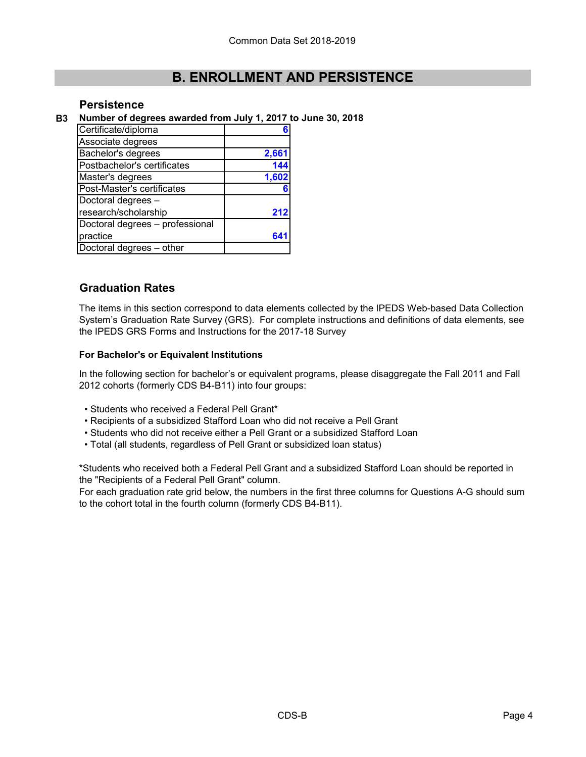### **Persistence**

**B3 Number of degrees awarded from July 1, 2017 to June 30, 2018**

| Certificate/diploma             |       |
|---------------------------------|-------|
| Associate degrees               |       |
| Bachelor's degrees              | 2,661 |
| Postbachelor's certificates     | 144   |
| Master's degrees                | 1,602 |
| Post-Master's certificates      |       |
| Doctoral degrees -              |       |
| research/scholarship            | 21:   |
| Doctoral degrees - professional |       |
| practice                        |       |
| Doctoral degrees - other        |       |

### **Graduation Rates**

The items in this section correspond to data elements collected by the IPEDS Web-based Data Collection System's Graduation Rate Survey (GRS). For complete instructions and definitions of data elements, see the IPEDS GRS Forms and Instructions for the 2017-18 Survey

#### **For Bachelor's or Equivalent Institutions**

In the following section for bachelor's or equivalent programs, please disaggregate the Fall 2011 and Fall 2012 cohorts (formerly CDS B4-B11) into four groups:

- Students who received a Federal Pell Grant\*
- Recipients of a subsidized Stafford Loan who did not receive a Pell Grant
- Students who did not receive either a Pell Grant or a subsidized Stafford Loan
- Total (all students, regardless of Pell Grant or subsidized loan status)

\*Students who received both a Federal Pell Grant and a subsidized Stafford Loan should be reported in the "Recipients of a Federal Pell Grant" column.

For each graduation rate grid below, the numbers in the first three columns for Questions A-G should sum to the cohort total in the fourth column (formerly CDS B4-B11).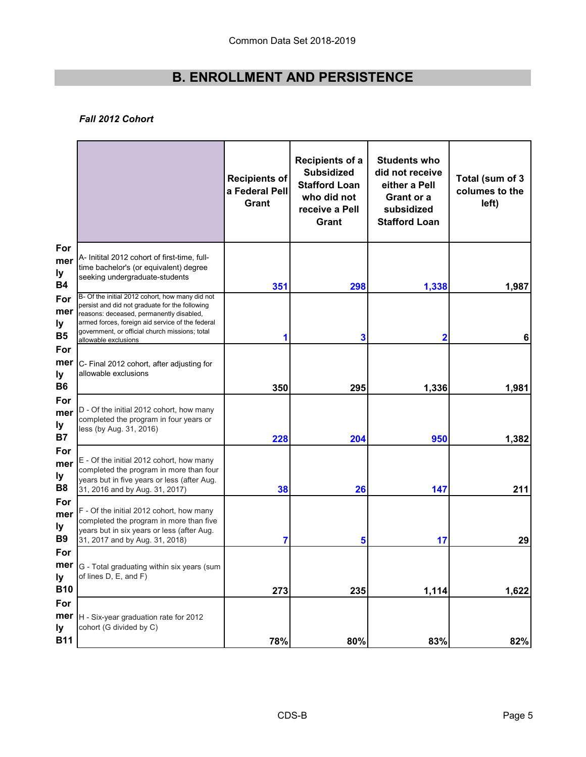#### *Fall 2012 Cohort*

|                                    |                                                                                                                                                                                                                                                                             | Recipients of<br>a Federal Pell<br><b>Grant</b> | <b>Recipients of a</b><br><b>Subsidized</b><br><b>Stafford Loan</b><br>who did not<br>receive a Pell<br>Grant | <b>Students who</b><br>did not receive<br>either a Pell<br>Grant or a<br>subsidized<br><b>Stafford Loan</b> | Total (sum of 3<br>columes to the<br>left) |
|------------------------------------|-----------------------------------------------------------------------------------------------------------------------------------------------------------------------------------------------------------------------------------------------------------------------------|-------------------------------------------------|---------------------------------------------------------------------------------------------------------------|-------------------------------------------------------------------------------------------------------------|--------------------------------------------|
| For<br>mer<br>ly<br><b>B4</b>      | A- Initital 2012 cohort of first-time, full-<br>time bachelor's (or equivalent) degree<br>seeking undergraduate-students                                                                                                                                                    | 351                                             | 298                                                                                                           | 1,338                                                                                                       | 1,987                                      |
| For<br>mer<br>ly<br><b>B5</b>      | B- Of the initial 2012 cohort, how many did not<br>persist and did not graduate for the following<br>reasons: deceased, permanently disabled,<br>armed forces, foreign aid service of the federal<br>government, or official church missions; total<br>allowable exclusions | 1                                               | 3                                                                                                             | 2                                                                                                           | 6                                          |
| For<br>mer<br>ly<br><b>B6</b>      | C- Final 2012 cohort, after adjusting for<br>allowable exclusions                                                                                                                                                                                                           | 350                                             | 295                                                                                                           | 1,336                                                                                                       | 1,981                                      |
| For<br>mer<br>ly<br><b>B7</b>      | D - Of the initial 2012 cohort, how many<br>completed the program in four years or<br>less (by Aug. 31, 2016)                                                                                                                                                               | 228                                             | 204                                                                                                           | 950                                                                                                         | 1,382                                      |
| For<br>mer<br>ly<br>B <sub>8</sub> | E - Of the initial 2012 cohort, how many<br>completed the program in more than four<br>years but in five years or less (after Aug.<br>31, 2016 and by Aug. 31, 2017)                                                                                                        | 38                                              | 26                                                                                                            | 147                                                                                                         | 211                                        |
| For<br>mer<br>ly<br><b>B</b> 9     | F - Of the initial 2012 cohort, how many<br>completed the program in more than five<br>years but in six years or less (after Aug.<br>31, 2017 and by Aug. 31, 2018)                                                                                                         | 7                                               | 5                                                                                                             | 17                                                                                                          | 29                                         |
| For<br>ly<br><b>B10</b>            | <b>mer</b> G - Total graduating within six years (sum<br>of lines D, E, and F)                                                                                                                                                                                              | 273                                             | 235                                                                                                           | 1,114                                                                                                       | 1,622                                      |
| For<br>mer<br>ly<br><b>B11</b>     | H - Six-year graduation rate for 2012<br>cohort (G divided by C)                                                                                                                                                                                                            | 78%                                             | 80%                                                                                                           | 83%                                                                                                         | 82%                                        |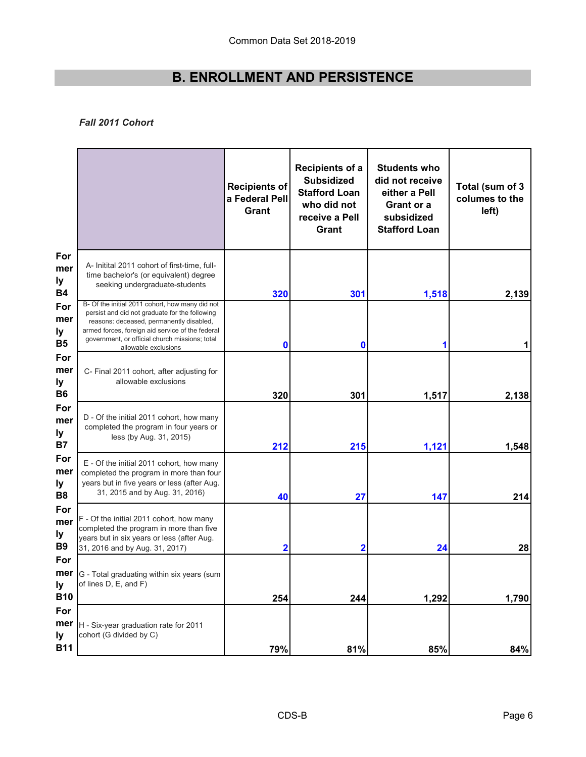### *Fall 2011 Cohort*

|                                     |                                                                                                                                                                                                                                                                             | <b>Recipients of</b><br>a Federal Pell<br>Grant | <b>Recipients of a</b><br><b>Subsidized</b><br><b>Stafford Loan</b><br>who did not<br>receive a Pell<br>Grant | <b>Students who</b><br>did not receive<br>either a Pell<br>Grant or a<br>subsidized<br><b>Stafford Loan</b> | Total (sum of 3<br>columes to the<br>left) |
|-------------------------------------|-----------------------------------------------------------------------------------------------------------------------------------------------------------------------------------------------------------------------------------------------------------------------------|-------------------------------------------------|---------------------------------------------------------------------------------------------------------------|-------------------------------------------------------------------------------------------------------------|--------------------------------------------|
| For<br>mer<br>ly<br><b>B4</b>       | A- Initital 2011 cohort of first-time, full-<br>time bachelor's (or equivalent) degree<br>seeking undergraduate-students                                                                                                                                                    | 320                                             | 301                                                                                                           | 1,518                                                                                                       | 2,139                                      |
| For<br>mer<br>ly<br><b>B5</b>       | B- Of the initial 2011 cohort, how many did not<br>persist and did not graduate for the following<br>reasons: deceased, permanently disabled,<br>armed forces, foreign aid service of the federal<br>government, or official church missions; total<br>allowable exclusions | 0                                               | $\boldsymbol{0}$                                                                                              |                                                                                                             |                                            |
| For<br>mer<br>ly<br><b>B6</b>       | C- Final 2011 cohort, after adjusting for<br>allowable exclusions                                                                                                                                                                                                           | 320                                             | 301                                                                                                           | 1,517                                                                                                       | 2,138                                      |
| For<br>mer<br>ly<br><b>B7</b>       | D - Of the initial 2011 cohort, how many<br>completed the program in four years or<br>less (by Aug. 31, 2015)                                                                                                                                                               | 212                                             | 215                                                                                                           | 1,121                                                                                                       | 1,548                                      |
| For<br>mer<br>ly.<br>B <sub>8</sub> | E - Of the initial 2011 cohort, how many<br>completed the program in more than four<br>years but in five years or less (after Aug.<br>31, 2015 and by Aug. 31, 2016)                                                                                                        | 40                                              | 27                                                                                                            | 147                                                                                                         | 214                                        |
| For<br>mer<br>ly<br><b>B9</b>       | F - Of the initial 2011 cohort, how many<br>completed the program in more than five<br>years but in six years or less (after Aug.<br>31, 2016 and by Aug. 31, 2017)                                                                                                         | 2                                               | $\mathbf 2$                                                                                                   | 24                                                                                                          | 28                                         |
| For<br>ly<br><b>B10</b>             | <b>mer</b>  G - Total graduating within six years (sum<br>of lines D, E, and F)                                                                                                                                                                                             | 254                                             | 244                                                                                                           | 1,292                                                                                                       | 1,790                                      |
| For<br>mer<br>ly<br><b>B11</b>      | H - Six-year graduation rate for 2011<br>cohort (G divided by C)                                                                                                                                                                                                            | 79%                                             | 81%                                                                                                           | 85%                                                                                                         | 84%                                        |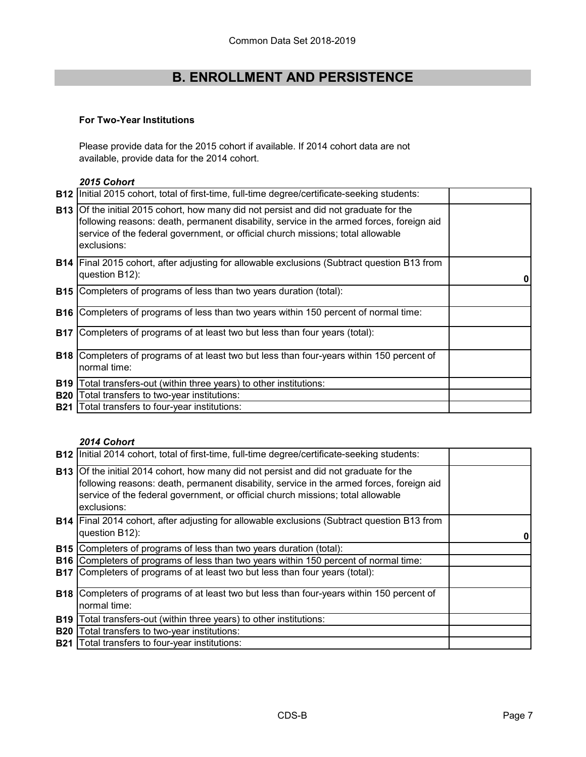#### **For Two-Year Institutions**

Please provide data for the 2015 cohort if available. If 2014 cohort data are not available, provide data for the 2014 cohort.

#### *2015 Cohort*

| <b>B12</b> | Initial 2015 cohort, total of first-time, full-time degree/certificate-seeking students:                                                                                                                                                                                            |  |
|------------|-------------------------------------------------------------------------------------------------------------------------------------------------------------------------------------------------------------------------------------------------------------------------------------|--|
|            | B13 Of the initial 2015 cohort, how many did not persist and did not graduate for the<br>following reasons: death, permanent disability, service in the armed forces, foreign aid<br>service of the federal government, or official church missions; total allowable<br>exclusions: |  |
|            | <b>B14</b> Final 2015 cohort, after adjusting for allowable exclusions (Subtract question B13 from<br>question B12):                                                                                                                                                                |  |
| B15        | Completers of programs of less than two years duration (total):                                                                                                                                                                                                                     |  |
| <b>B16</b> | Completers of programs of less than two years within 150 percent of normal time:                                                                                                                                                                                                    |  |
| <b>B17</b> | Completers of programs of at least two but less than four years (total):                                                                                                                                                                                                            |  |
| <b>B18</b> | Completers of programs of at least two but less than four-years within 150 percent of<br>normal time:                                                                                                                                                                               |  |
| <b>B19</b> | Total transfers-out (within three years) to other institutions:                                                                                                                                                                                                                     |  |
| <b>B20</b> | Total transfers to two-year institutions:                                                                                                                                                                                                                                           |  |
| <b>B21</b> | Total transfers to four-year institutions:                                                                                                                                                                                                                                          |  |

### *2014 Cohort*

|            | <b>B12</b> Initial 2014 cohort, total of first-time, full-time degree/certificate-seeking students:                                                                                                                                                                                        |  |
|------------|--------------------------------------------------------------------------------------------------------------------------------------------------------------------------------------------------------------------------------------------------------------------------------------------|--|
|            | <b>B13</b> Of the initial 2014 cohort, how many did not persist and did not graduate for the<br>following reasons: death, permanent disability, service in the armed forces, foreign aid<br>service of the federal government, or official church missions; total allowable<br>exclusions: |  |
|            | <b>B14</b> Final 2014 cohort, after adjusting for allowable exclusions (Subtract question B13 from<br>question B12):                                                                                                                                                                       |  |
|            | <b>B15</b> Completers of programs of less than two years duration (total):                                                                                                                                                                                                                 |  |
| <b>B16</b> | Completers of programs of less than two years within 150 percent of normal time:                                                                                                                                                                                                           |  |
|            | <b>B17</b> Completers of programs of at least two but less than four years (total):                                                                                                                                                                                                        |  |
|            | <b>B18</b> Completers of programs of at least two but less than four-years within 150 percent of                                                                                                                                                                                           |  |
|            | normal time:                                                                                                                                                                                                                                                                               |  |
| <b>B19</b> | Total transfers-out (within three years) to other institutions:                                                                                                                                                                                                                            |  |
| <b>B20</b> | Total transfers to two-year institutions:                                                                                                                                                                                                                                                  |  |
| <b>B21</b> | Total transfers to four-year institutions:                                                                                                                                                                                                                                                 |  |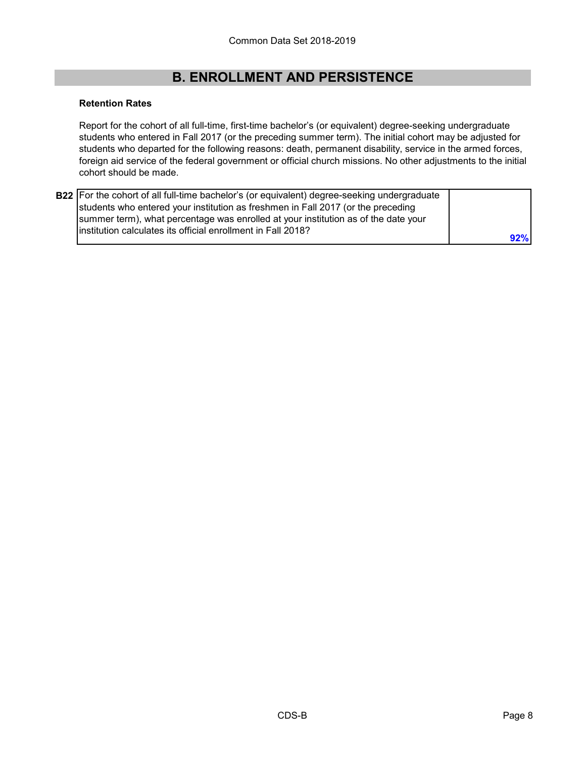#### **Retention Rates**

Report for the cohort of all full-time, first-time bachelor's (or equivalent) degree-seeking undergraduate students who entered in Fall 2017 (or the preceding summer term). The initial cohort may be adjusted for students who departed for the following reasons: death, permanent disability, service in the armed forces, foreign aid service of the federal government or official church missions. No other adjustments to the initial cohort should be made.

| B22 For the cohort of all full-time bachelor's (or equivalent) degree-seeking undergraduate                                                                            |     |
|------------------------------------------------------------------------------------------------------------------------------------------------------------------------|-----|
| students who entered your institution as freshmen in Fall 2017 (or the preceding<br>summer term), what percentage was enrolled at your institution as of the date your |     |
| linstitution calculates its official enrollment in Fall 2018?                                                                                                          | 92% |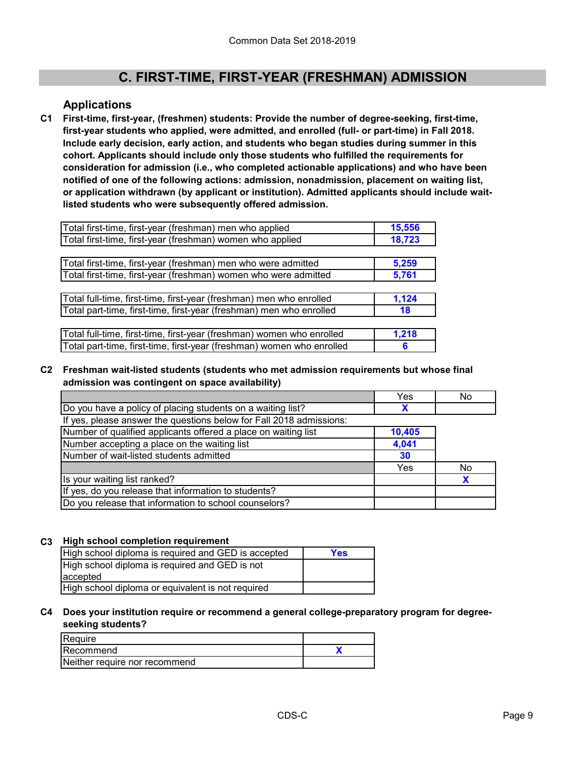### **Applications**

**C1 First-time, first-year, (freshmen) students: Provide the number of degree-seeking, first-time, first-year students who applied, were admitted, and enrolled (full- or part-time) in Fall 2018. Include early decision, early action, and students who began studies during summer in this cohort. Applicants should include only those students who fulfilled the requirements for consideration for admission (i.e., who completed actionable applications) and who have been notified of one of the following actions: admission, nonadmission, placement on waiting list, or application withdrawn (by applicant or institution). Admitted applicants should include waitlisted students who were subsequently offered admission.**

| Total first-time, first-year (freshman) men who applied               | 15,556 |
|-----------------------------------------------------------------------|--------|
| Total first-time, first-year (freshman) women who applied             | 18,723 |
|                                                                       |        |
| Total first-time, first-year (freshman) men who were admitted         | 5,259  |
| Total first-time, first-year (freshman) women who were admitted       | 5,761  |
|                                                                       |        |
| Total full-time, first-time, first-year (freshman) men who enrolled   | 1,124  |
| Total part-time, first-time, first-year (freshman) men who enrolled   | 18     |
|                                                                       |        |
| Total full-time, first-time, first-year (freshman) women who enrolled | 1,218  |
| Total part-time, first-time, first-year (freshman) women who enrolled | 6      |

**C2 Freshman wait-listed students (students who met admission requirements but whose final admission was contingent on space availability)**

|                                                                     | Yes    | No |
|---------------------------------------------------------------------|--------|----|
| Do you have a policy of placing students on a waiting list?         |        |    |
| If yes, please answer the questions below for Fall 2018 admissions: |        |    |
| Number of qualified applicants offered a place on waiting list      | 10,405 |    |
| Number accepting a place on the waiting list                        | 4,041  |    |
| Number of wait-listed students admitted                             | -30    |    |
|                                                                     | Yes    | No |
| Is your waiting list ranked?                                        |        |    |
| If yes, do you release that information to students?                |        |    |
| Do you release that information to school counselors?               |        |    |

#### **C3 High school completion requirement**

| High school diploma is required and GED is accepted | Yes |
|-----------------------------------------------------|-----|
| High school diploma is required and GED is not      |     |
| laccepted                                           |     |
| High school diploma or equivalent is not required   |     |

#### **C4 Does your institution require or recommend a general college-preparatory program for degreeseeking students?**

| Reguire                       |  |
|-------------------------------|--|
| Recommend                     |  |
| Neither require nor recommend |  |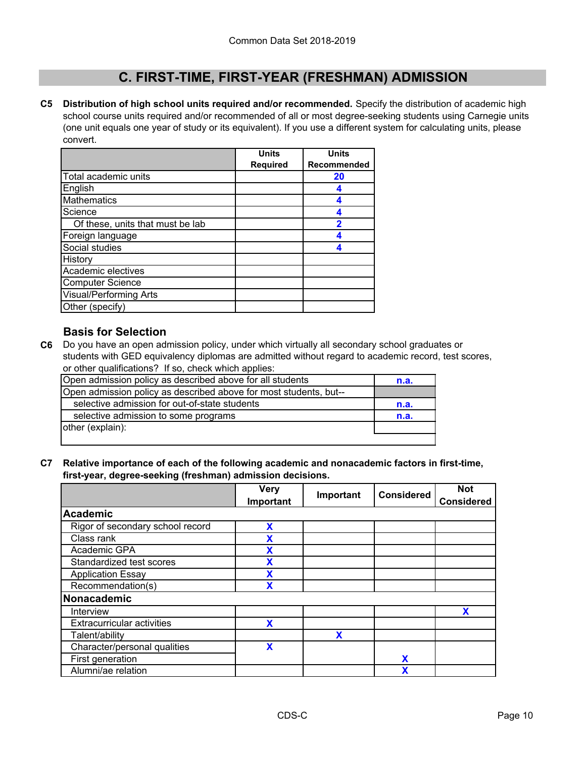**C5 Distribution of high school units required and/or recommended.** Specify the distribution of academic high school course units required and/or recommended of all or most degree-seeking students using Carnegie units (one unit equals one year of study or its equivalent). If you use a different system for calculating units, please convert.

|                                  | <b>Units</b>    | <b>Units</b> |
|----------------------------------|-----------------|--------------|
|                                  | <b>Required</b> | Recommended  |
| Total academic units             |                 | 20           |
| English                          |                 |              |
| Mathematics                      |                 |              |
| Science                          |                 | Δ            |
| Of these, units that must be lab |                 | 2            |
| Foreign language                 |                 |              |
| Social studies                   |                 |              |
| History                          |                 |              |
| Academic electives               |                 |              |
| <b>Computer Science</b>          |                 |              |
| <b>Visual/Performing Arts</b>    |                 |              |
| Other (specify)                  |                 |              |

### **Basis for Selection**

**C6** Do you have an open admission policy, under which virtually all secondary school graduates or students with GED equivalency diplomas are admitted without regard to academic record, test scores, or other qualifications? If so, check which applies:

| Open admission policy as described above for all students         | n.a. |
|-------------------------------------------------------------------|------|
| Open admission policy as described above for most students, but-- |      |
| selective admission for out-of-state students                     | n.a. |
| selective admission to some programs                              | n.a. |
| other (explain):                                                  |      |
|                                                                   |      |

**C7 Relative importance of each of the following academic and nonacademic factors in first-time, first-year, degree-seeking (freshman) admission decisions.**

|                                   | <b>Very</b><br>Important | Important | <b>Considered</b> | <b>Not</b><br><b>Considered</b> |
|-----------------------------------|--------------------------|-----------|-------------------|---------------------------------|
| <b>Academic</b>                   |                          |           |                   |                                 |
| Rigor of secondary school record  | X                        |           |                   |                                 |
| Class rank                        | x                        |           |                   |                                 |
| Academic GPA                      | X                        |           |                   |                                 |
| Standardized test scores          | χ                        |           |                   |                                 |
| <b>Application Essay</b>          | X                        |           |                   |                                 |
| Recommendation(s)                 | X                        |           |                   |                                 |
| Nonacademic                       |                          |           |                   |                                 |
| Interview                         |                          |           |                   | X                               |
| <b>Extracurricular activities</b> | X                        |           |                   |                                 |
| Talent/ability                    |                          | X         |                   |                                 |
| Character/personal qualities      | X                        |           |                   |                                 |
| First generation                  |                          |           | X                 |                                 |
| Alumni/ae relation                |                          |           | X                 |                                 |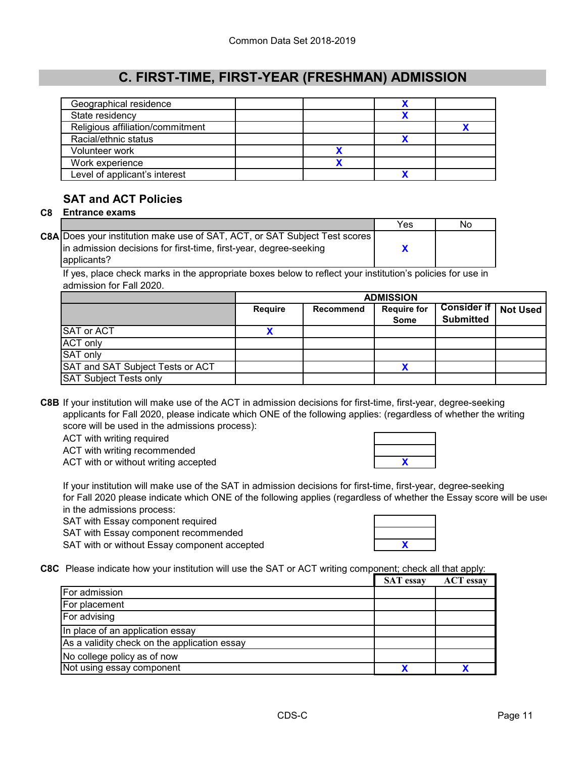| Geographical residence           |  |  |
|----------------------------------|--|--|
| State residency                  |  |  |
| Religious affiliation/commitment |  |  |
| Racial/ethnic status             |  |  |
| Volunteer work                   |  |  |
| Work experience                  |  |  |
| Level of applicant's interest    |  |  |

# **SAT and ACT Policies**

#### **C8 Entrance exams**

|                                                                                   | Yes | No |
|-----------------------------------------------------------------------------------|-----|----|
| <b>C8A Does your institution make use of SAT, ACT, or SAT Subject Test scores</b> |     |    |
| In admission decisions for first-time, first-year, degree-seeking                 |     |    |
| applicants?                                                                       |     |    |

If yes, place check marks in the appropriate boxes below to reflect your institution's policies for use in admission for Fall 2020.

|                                  | <b>ADMISSION</b> |                  |                                   |                                                     |  |
|----------------------------------|------------------|------------------|-----------------------------------|-----------------------------------------------------|--|
|                                  | Require          | <b>Recommend</b> | <b>Require for</b><br><b>Some</b> | <b>Consider if   Not Used '</b><br><b>Submitted</b> |  |
| <b>SAT or ACT</b>                |                  |                  |                                   |                                                     |  |
| <b>ACT only</b>                  |                  |                  |                                   |                                                     |  |
| SAT only                         |                  |                  |                                   |                                                     |  |
| SAT and SAT Subject Tests or ACT |                  |                  |                                   |                                                     |  |
| <b>SAT Subject Tests only</b>    |                  |                  |                                   |                                                     |  |

**C8B** If your institution will make use of the ACT in admission decisions for first-time, first-year, degree-seeking applicants for Fall 2020, please indicate which ONE of the following applies: (regardless of whether the writing score will be used in the admissions process):

ACT with writing required

ACT with writing recommended

ACT with or without writing accepted

If your institution will make use of the SAT in admission decisions for first-time, first-year, degree-seeking for Fall 2020 please indicate which ONE of the following applies (regardless of whether the Essay score will be use in the admissions process:

SAT with Essay component required

SAT with Essay component recommended

SAT with or without Essay component accepted

- **X**
- **C8C** Please indicate how your institution will use the SAT or ACT writing component; check all that apply:

|                                              | <b>SAT</b> essay | <b>ACT</b> essay |
|----------------------------------------------|------------------|------------------|
| For admission                                |                  |                  |
| For placement                                |                  |                  |
| For advising                                 |                  |                  |
| In place of an application essay             |                  |                  |
| As a validity check on the application essay |                  |                  |
| No college policy as of now                  |                  |                  |
| Not using essay component                    |                  |                  |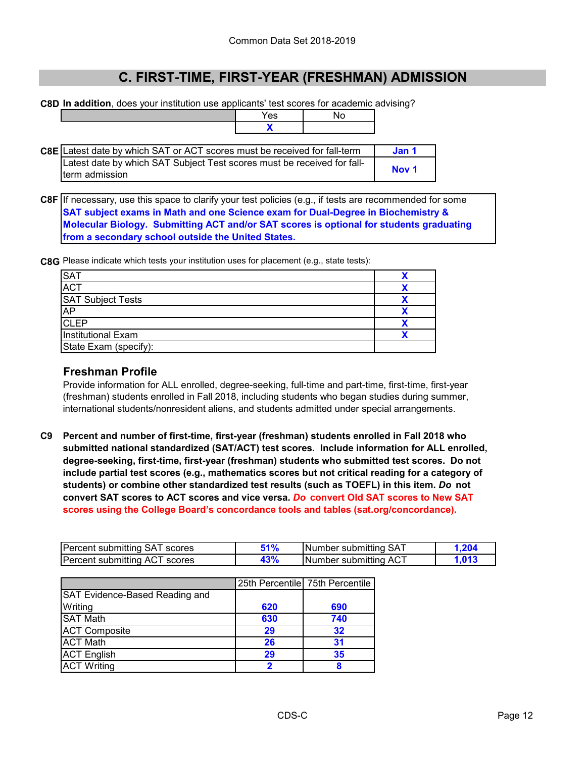**C8D In addition**, does your institution use applicants' test scores for academic advising?

Yes | No **X**

| C8E Latest date by which SAT or ACT scores must be received for fall-term | Jan 1            |
|---------------------------------------------------------------------------|------------------|
| Latest date by which SAT Subject Test scores must be received for fall-   |                  |
| Iterm admission                                                           | Nov <sub>1</sub> |

**C8F** If necessary, use this space to clarify your test policies (e.g., if tests are recommended for some **SAT subject exams in Math and one Science exam for Dual-Degree in Biochemistry & Molecular Biology. Submitting ACT and/or SAT scores is optional for students graduating from a secondary school outside the United States.**

**C8G** Please indicate which tests your institution uses for placement (e.g., state tests):

| SAT<br>ACT                |  |
|---------------------------|--|
|                           |  |
| <b>SAT Subject Tests</b>  |  |
| <b>AP</b>                 |  |
| <b>CLEP</b>               |  |
| <b>Institutional Exam</b> |  |
| State Exam (specify):     |  |

### **Freshman Profile**

Provide information for ALL enrolled, degree-seeking, full-time and part-time, first-time, first-year (freshman) students enrolled in Fall 2018, including students who began studies during summer, international students/nonresident aliens, and students admitted under special arrangements.

**C9 Percent and number of first-time, first-year (freshman) students enrolled in Fall 2018 who submitted national standardized (SAT/ACT) test scores. Include information for ALL enrolled, degree-seeking, first-time, first-year (freshman) students who submitted test scores. Do not include partial test scores (e.g., mathematics scores but not critical reading for a category of students) or combine other standardized test results (such as TOEFL) in this item.** *Do* **not convert SAT scores to ACT scores and vice versa.** *Do* **convert Old SAT scores to New SAT scores using the College Board's concordance tools and tables (sat.org/concordance).**

| Percent submitting SAT scores | ৰ প | INumber submitting SAT        |  |
|-------------------------------|-----|-------------------------------|--|
| Percent submitting ACT scores | 3%  | <b>INumber submitting ACT</b> |  |

|                                |     | 25th Percentile 75th Percentile |
|--------------------------------|-----|---------------------------------|
| SAT Evidence-Based Reading and |     |                                 |
| Writing                        | 620 | 690                             |
| <b>SAT Math</b>                | 630 | 740                             |
| <b>ACT Composite</b>           | 29  | 32                              |
| <b>ACT Math</b>                | 26  | 31                              |
| <b>ACT English</b>             | 29  | 35                              |
| <b>ACT Writing</b>             | 2   |                                 |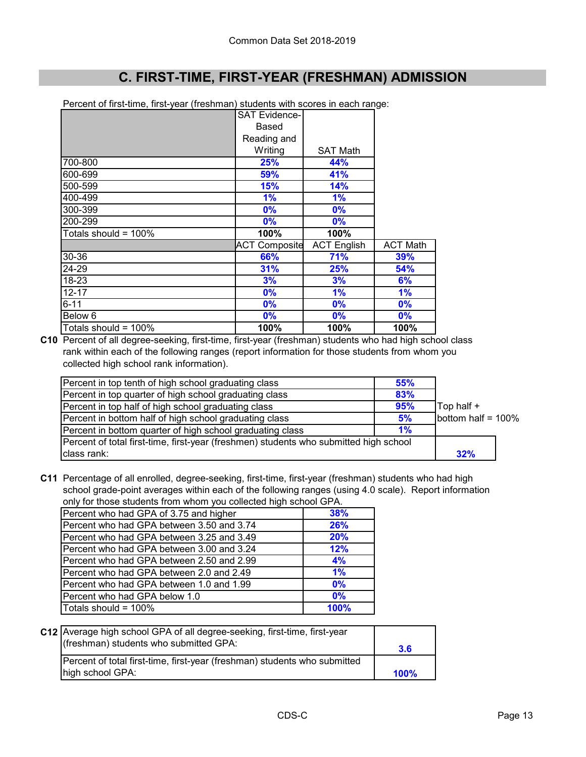Percent of first-time, first-year (freshman) students with scores in each range:

|                         | <b>SAT Evidence-</b> |                    |                 |
|-------------------------|----------------------|--------------------|-----------------|
|                         | Based                |                    |                 |
|                         | Reading and          |                    |                 |
|                         | Writing              | <b>SAT Math</b>    |                 |
| 700-800                 | 25%                  | 44%                |                 |
| 600-699                 | 59%                  | 41%                |                 |
| 500-599                 | <b>15%</b>           | 14%                |                 |
| 400-499                 | 1%                   | 1%                 |                 |
| 300-399                 | 0%                   | 0%                 |                 |
| 200-299                 | $0\%$                | $0\%$              |                 |
| Totals should = $100\%$ | 100%                 | 100%               |                 |
|                         | <b>ACT Composite</b> | <b>ACT English</b> | <b>ACT Math</b> |
| 30-36                   | 66%                  | 71%                | 39%             |
| 24-29                   | 31%                  | 25%                | 54%             |
| 18-23                   | 3%                   | 3%                 | 6%              |
| $12 - 17$               | 0%                   | 1%                 | 1%              |
| $6 - 11$                | 0%                   | 0%                 | 0%              |
| Below 6                 | 0%                   | 0%                 | 0%              |
| Totals should = $100\%$ | 100%                 | 100%               | 100%            |

**C10** Percent of all degree-seeking, first-time, first-year (freshman) students who had high school class rank within each of the following ranges (report information for those students from whom you collected high school rank information).

| Percent in top tenth of high school graduating class                                  | 55% |                    |  |
|---------------------------------------------------------------------------------------|-----|--------------------|--|
| Percent in top quarter of high school graduating class                                | 83% |                    |  |
| Percent in top half of high school graduating class                                   | 95% | Top half +         |  |
| Percent in bottom half of high school graduating class                                | 5%  | bottom half = 100% |  |
| Percent in bottom quarter of high school graduating class                             | 1%  |                    |  |
| Percent of total first-time, first-year (freshmen) students who submitted high school |     |                    |  |
| class rank:                                                                           |     | 32%                |  |

**C11** Percentage of all enrolled, degree-seeking, first-time, first-year (freshman) students who had high school grade-point averages within each of the following ranges (using 4.0 scale). Report information only for those students from whom you collected high school GPA.

| Only for those students from whom you conected high scribble GFA. |            |  |  |
|-------------------------------------------------------------------|------------|--|--|
| Percent who had GPA of 3.75 and higher                            | 38%        |  |  |
| Percent who had GPA between 3.50 and 3.74                         | <b>26%</b> |  |  |
| Percent who had GPA between 3.25 and 3.49                         | 20%        |  |  |
| Percent who had GPA between 3.00 and 3.24                         | 12%        |  |  |
| Percent who had GPA between 2.50 and 2.99                         | 4%         |  |  |
| Percent who had GPA between 2.0 and 2.49                          | $1\%$      |  |  |
| Percent who had GPA between 1.0 and 1.99                          | 0%         |  |  |
| Percent who had GPA below 1.0                                     | 0%         |  |  |
| Totals should = 100%                                              | 100%       |  |  |

| C12 Average high school GPA of all degree-seeking, first-time, first-year<br>(freshman) students who submitted GPA: |      |
|---------------------------------------------------------------------------------------------------------------------|------|
| Percent of total first-time, first-year (freshman) students who submitted<br>high school GPA:                       | 100% |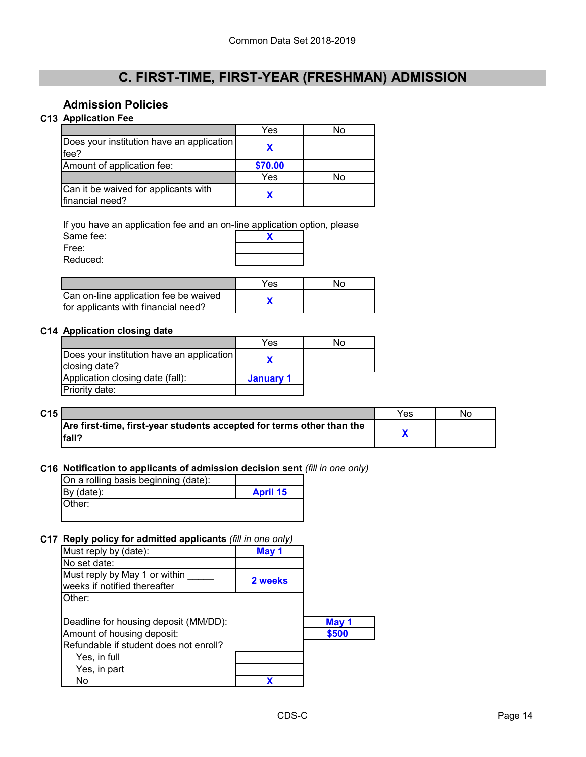### **Admission Policies**

### **C13 Application Fee**

|                                                         | Yes     | No |
|---------------------------------------------------------|---------|----|
| Does your institution have an application<br>fee?       |         |    |
| Amount of application fee:                              | \$70.00 |    |
|                                                         | Yes     | Nο |
| Can it be waived for applicants with<br>financial need? |         |    |

Same fee: **X** Free: If you have an application fee and an on-line application option, please

Reduced:

|                                                                              | Yes | חצ |
|------------------------------------------------------------------------------|-----|----|
| Can on-line application fee be waived<br>for applicants with financial need? |     |    |

#### **C14 Application closing date**

|                                                            | Yes       | N٥ |
|------------------------------------------------------------|-----------|----|
| Does your institution have an application<br>closing date? |           |    |
| Application closing date (fall):                           | January 1 |    |
| Priority date:                                             |           |    |

| C15 |                                                                                | Yes | No |
|-----|--------------------------------------------------------------------------------|-----|----|
|     | Are first-time, first-year students accepted for terms other than the<br>fall? |     |    |

#### **C16 Notification to applicants of admission decision sent** *(fill in one only)*

| On a rolling basis beginning (date): |                 |
|--------------------------------------|-----------------|
| $By$ (date):                         | <b>April 15</b> |
| <b>Other:</b>                        |                 |
|                                      |                 |

### **C17 Reply policy for admitted applicants** *(fill in one only)*

| $\mathbf{r}$                           |         |       |
|----------------------------------------|---------|-------|
| Must reply by (date):                  | May 1   |       |
| No set date:                           |         |       |
| Must reply by May 1 or within          | 2 weeks |       |
| weeks if notified thereafter           |         |       |
| Other:                                 |         |       |
|                                        |         |       |
| Deadline for housing deposit (MM/DD):  |         | May 1 |
| Amount of housing deposit:             |         | \$500 |
| Refundable if student does not enroll? |         |       |
| Yes, in full                           |         |       |
| Yes, in part                           |         |       |
| No                                     |         |       |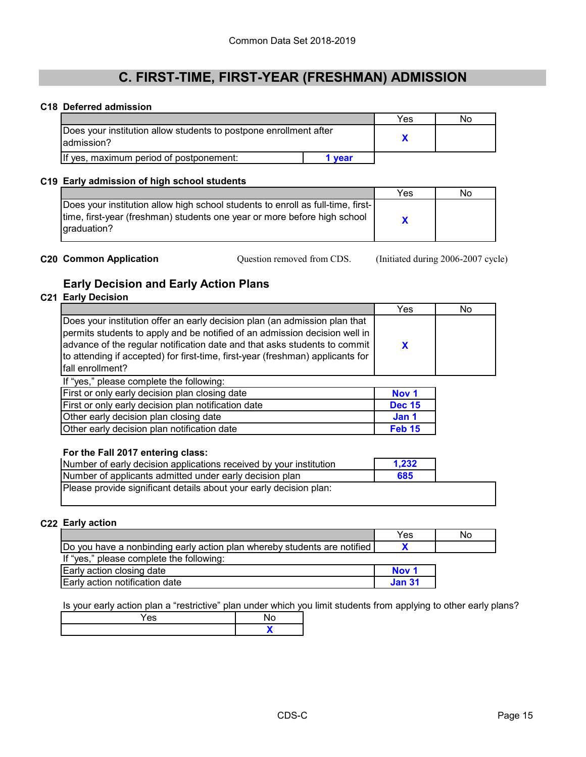#### **C18 Deferred admission**

|                                                                                  |        | Yes | Nο |
|----------------------------------------------------------------------------------|--------|-----|----|
| Does your institution allow students to postpone enrollment after<br>ladmission? |        |     |    |
| If yes, maximum period of postponement:                                          | 1 vear |     |    |

#### **C19 Early admission of high school students**

|                                                                                                                                                                            | Yes | No |
|----------------------------------------------------------------------------------------------------------------------------------------------------------------------------|-----|----|
| Does your institution allow high school students to enroll as full-time, first-<br>time, first-year (freshman) students one year or more before high school<br>graduation? |     |    |

**C20 Common Application** Cuestion removed from CDS. (Initiated during 2006-2007 cycle) Question removed from CDS.

### **Early Decision and Early Action Plans**

### **C21 Early Decision**

|                                                                                                                                                                                                                                                                                                                                             | Yes              | No |
|---------------------------------------------------------------------------------------------------------------------------------------------------------------------------------------------------------------------------------------------------------------------------------------------------------------------------------------------|------------------|----|
| Does your institution offer an early decision plan (an admission plan that<br>permits students to apply and be notified of an admission decision well in<br>advance of the regular notification date and that asks students to commit<br>to attending if accepted) for first-time, first-year (freshman) applicants for<br>fall enrollment? | X                |    |
| If "yes," please complete the following:                                                                                                                                                                                                                                                                                                    |                  |    |
| First or only early decision plan closing date                                                                                                                                                                                                                                                                                              | Nov <sub>1</sub> |    |
| First or only early decision plan notification date                                                                                                                                                                                                                                                                                         | <b>Dec 15</b>    |    |
| Other early decision plan closing date                                                                                                                                                                                                                                                                                                      | Jan 1            |    |
| Other early decision plan notification date                                                                                                                                                                                                                                                                                                 | <b>Feb 15</b>    |    |
|                                                                                                                                                                                                                                                                                                                                             |                  |    |
| For the Fall 2017 entering class:                                                                                                                                                                                                                                                                                                           |                  |    |

| Number of early decision applications received by your institution | 1,232 |  |
|--------------------------------------------------------------------|-------|--|
| Number of applicants admitted under early decision plan            | 685   |  |
| Please provide significant details about your early decision plan: |       |  |

#### **C22 Early action**

|                                                                          | Yes              | No |
|--------------------------------------------------------------------------|------------------|----|
| Do you have a nonbinding early action plan whereby students are notified |                  |    |
| If "yes," please complete the following:                                 |                  |    |
| Early action closing date                                                | Nov <sub>1</sub> |    |
| Early action notification date                                           | <b>Jan 31</b>    |    |

Is your early action plan a "restrictive" plan under which you limit students from applying to other early plans?

| 65 |  |
|----|--|
|    |  |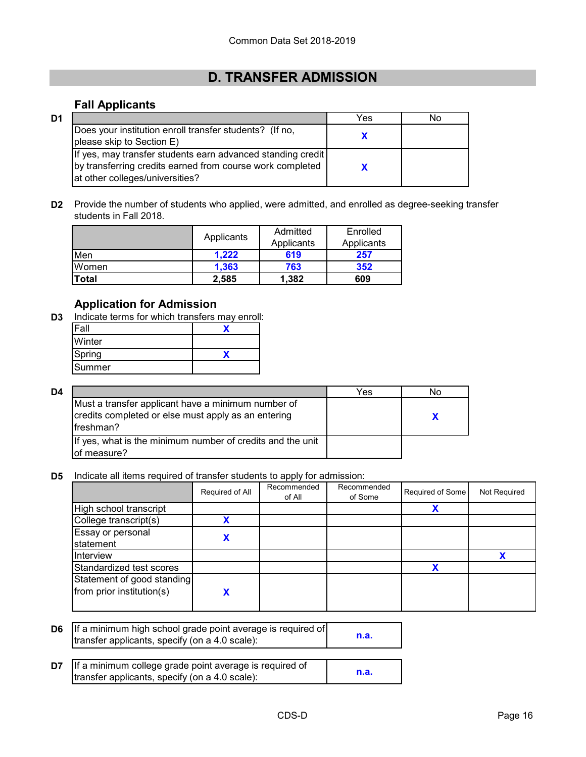# **D. TRANSFER ADMISSION**

### **Fall Applicants**

| D1 |                                                                                                                                                              | Yes | Nο |
|----|--------------------------------------------------------------------------------------------------------------------------------------------------------------|-----|----|
|    | Does your institution enroll transfer students? (If no,<br>please skip to Section E)                                                                         |     |    |
|    | If yes, may transfer students earn advanced standing credit<br>by transferring credits earned from course work completed<br>lat other colleges/universities? |     |    |

**D2** Provide the number of students who applied, were admitted, and enrolled as degree-seeking transfer students in Fall 2018.

|       |            | Admitted | Enrolled   |
|-------|------------|----------|------------|
|       | Applicants |          | Applicants |
| Men   | 1.222      | 619      | 257        |
| Women | 1.363      | 763      | 352        |
| Total | 2,585      | 1,382    | 609        |

### **Application for Admission**

**D3** Indicate terms for which transfers may enroll:

| <b>IFall</b> |  |
|--------------|--|
| Winter       |  |
| Spring       |  |
| Summer       |  |

| D4 |                                                                                                                        | Yes | Nο |
|----|------------------------------------------------------------------------------------------------------------------------|-----|----|
|    | Must a transfer applicant have a minimum number of<br>credits completed or else must apply as an entering<br>freshman? |     |    |
|    | If yes, what is the minimum number of credits and the unit<br>of measure?                                              |     |    |

**D5** Indicate all items required of transfer students to apply for admission:

|                                                         | Required of All | Recommended<br>of All | Recommended<br>of Some | Required of Some | Not Required |
|---------------------------------------------------------|-----------------|-----------------------|------------------------|------------------|--------------|
| High school transcript                                  |                 |                       |                        |                  |              |
| College transcript(s)                                   |                 |                       |                        |                  |              |
| Essay or personal<br><b>statement</b>                   |                 |                       |                        |                  |              |
| Interview                                               |                 |                       |                        |                  |              |
| Standardized test scores                                |                 |                       |                        | Х                |              |
| Statement of good standing<br>from prior institution(s) |                 |                       |                        |                  |              |

| <b>D6</b> If a minimum high school grade point average is required of<br>transfer applicants, specify (on a 4.0 scale): | n.a. |
|-------------------------------------------------------------------------------------------------------------------------|------|
| <b>D7</b> If a minimum college grade point average is required of<br>transfer applicants, specify (on a 4.0 scale):     | n.a. |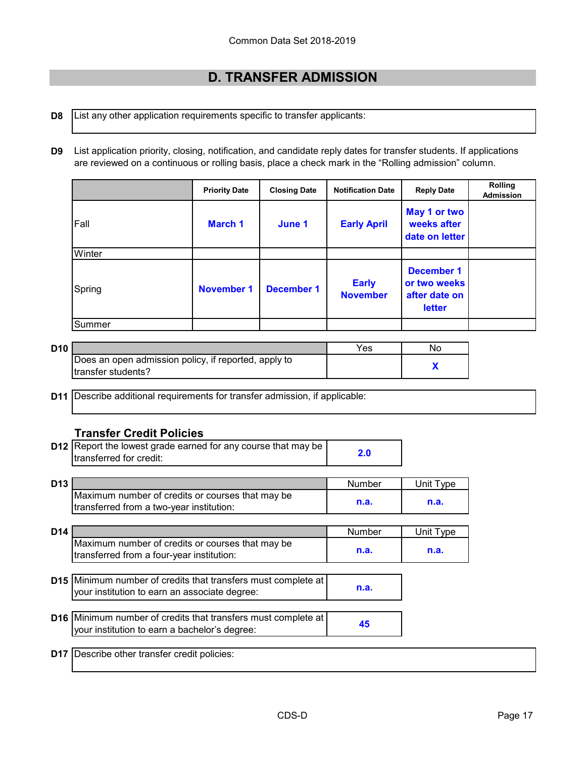# **D. TRANSFER ADMISSION**

#### **D8** List any other application requirements specific to transfer applicants:

**D9** List application priority, closing, notification, and candidate reply dates for transfer students. If applications are reviewed on a continuous or rolling basis, place a check mark in the "Rolling admission" column.

|        | <b>Priority Date</b> | <b>Closing Date</b> | <b>Notification Date</b>        | <b>Reply Date</b>                                                   | <b>Rolling</b><br><b>Admission</b> |
|--------|----------------------|---------------------|---------------------------------|---------------------------------------------------------------------|------------------------------------|
| Fall   | <b>March 1</b>       | June 1              | <b>Early April</b>              | May 1 or two<br>weeks after<br>date on letter                       |                                    |
| Winter |                      |                     |                                 |                                                                     |                                    |
| Spring | <b>November 1</b>    | <b>December 1</b>   | <b>Early</b><br><b>November</b> | <b>December 1</b><br>or two weeks<br>after date on<br><b>letter</b> |                                    |
| Summer |                      |                     |                                 |                                                                     |                                    |

| D <sub>10</sub> |                                                      | Yes | Nο |
|-----------------|------------------------------------------------------|-----|----|
|                 | Does an open admission policy, if reported, apply to |     |    |
|                 | Itransfer students?                                  |     |    |

**D11** Describe additional requirements for transfer admission, if applicable:

### **Transfer Credit Policies**

| <b>D12</b> Report the lowest grade earned for any course that may be | 2.0 |
|----------------------------------------------------------------------|-----|
| Itransferred for credit:                                             |     |

| D <sub>13</sub> |                                                  | Number | Jnii |
|-----------------|--------------------------------------------------|--------|------|
|                 | Maximum number of credits or courses that may be |        |      |
|                 | Itransferred from a two-year institution:        | n.a    | n.a. |

| D <sub>14</sub> |                                                  | Number | Unit Tvpe |
|-----------------|--------------------------------------------------|--------|-----------|
|                 | Maximum number of credits or courses that may be |        |           |
|                 | Itransferred from a four-year institution:       | n.a.   | n.a.      |

- **D15** Minimum number of credits that transfers must complete at **n.a.** your institution to earn an associate degree:
- **D16** Minimum number of credits that transfers must complete at **45** your institution to earn a bachelor's degree:

**D17** Describe other transfer credit policies: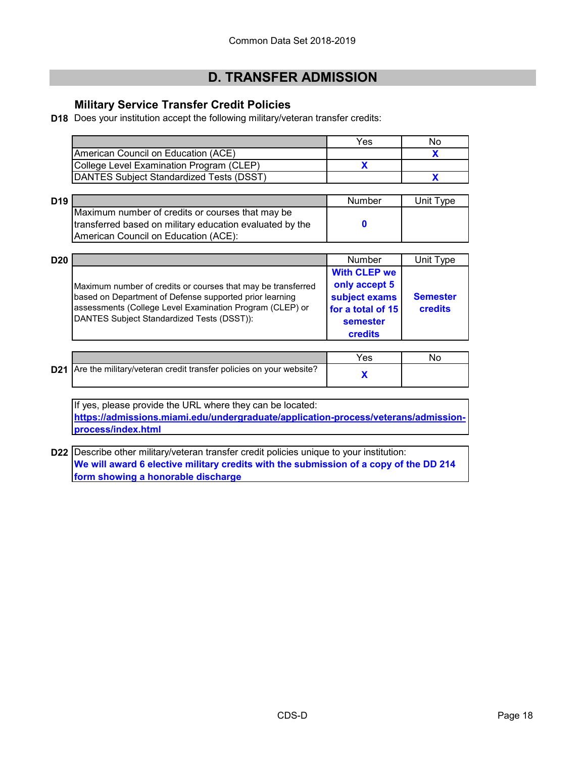# **D. TRANSFER ADMISSION**

### **Military Service Transfer Credit Policies**

**D18** Does your institution accept the following military/veteran transfer credits:

|                                          | Yes | No. |
|------------------------------------------|-----|-----|
| American Council on Education (ACE)      |     |     |
| College Level Examination Program (CLEP) |     |     |
| DANTES Subject Standardized Tests (DSST) |     |     |

| D <sub>19</sub> |                                                          | Number | Unit Type |
|-----------------|----------------------------------------------------------|--------|-----------|
|                 | Maximum number of credits or courses that may be         |        |           |
|                 | transferred based on military education evaluated by the |        |           |
|                 | American Council on Education (ACE):                     |        |           |

| D <sub>20</sub> |                                                                                                                                                                                                                                   | <b>Number</b>                                                                                            | Unit Type                  |
|-----------------|-----------------------------------------------------------------------------------------------------------------------------------------------------------------------------------------------------------------------------------|----------------------------------------------------------------------------------------------------------|----------------------------|
|                 | Maximum number of credits or courses that may be transferred<br>based on Department of Defense supported prior learning<br>assessments (College Level Examination Program (CLEP) or<br>DANTES Subject Standardized Tests (DSST)): | <b>With CLEP we</b><br>only accept 5<br>subject exams<br>for a total of 15<br>semester<br><b>credits</b> | <b>Semester</b><br>credits |

|                                                                        | 'es |  |
|------------------------------------------------------------------------|-----|--|
| D21 Are the military/veteran credit transfer policies on your website? |     |  |

If yes, please provide the URL where they can be located: **[https://admissions.miami.edu/undergraduate/application-process/veterans/admission](https://admissions.miami.edu/undergraduate/application-process/veterans/admission-process/index.html)[process/index.html](https://admissions.miami.edu/undergraduate/application-process/veterans/admission-process/index.html)**

**D22** Describe other military/veteran transfer credit policies unique to your institution: **We will award 6 elective military credits with the submission of a copy of the DD 214 form showing a honorable discharge**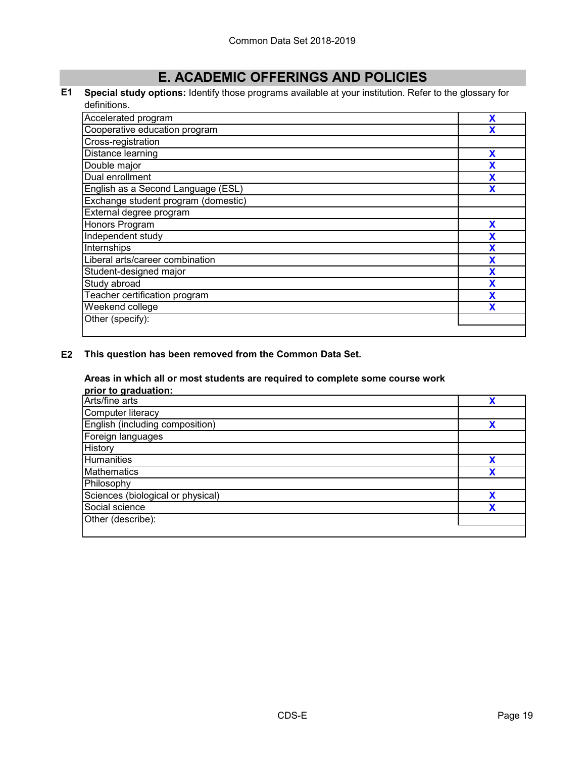# **E. ACADEMIC OFFERINGS AND POLICIES**

#### **E1 Special study options:** Identify those programs available at your institution. Refer to the glossary for definitions.

| Accelerated program                 | X |
|-------------------------------------|---|
| Cooperative education program       |   |
| Cross-registration                  |   |
| Distance learning                   | х |
| Double major                        |   |
| Dual enrollment                     |   |
| English as a Second Language (ESL)  |   |
| Exchange student program (domestic) |   |
| External degree program             |   |
| Honors Program                      | x |
| Independent study                   | χ |
| Internships                         | X |
| Liberal arts/career combination     | X |
| Student-designed major              | χ |
| Study abroad                        |   |
| Teacher certification program       | X |
| Weekend college                     | X |
| Other (specify):                    |   |
|                                     |   |

**E2 This question has been removed from the Common Data Set.**

#### **Areas in which all or most students are required to complete some course work**

| prior to graduation:              |              |
|-----------------------------------|--------------|
| Arts/fine arts                    | v            |
| Computer literacy                 |              |
| English (including composition)   | v            |
| Foreign languages                 |              |
| History                           |              |
| <b>Humanities</b>                 | v            |
| <b>Mathematics</b>                | v            |
| Philosophy                        |              |
| Sciences (biological or physical) | X            |
| Social science                    | $\checkmark$ |
| Other (describe):                 |              |
|                                   |              |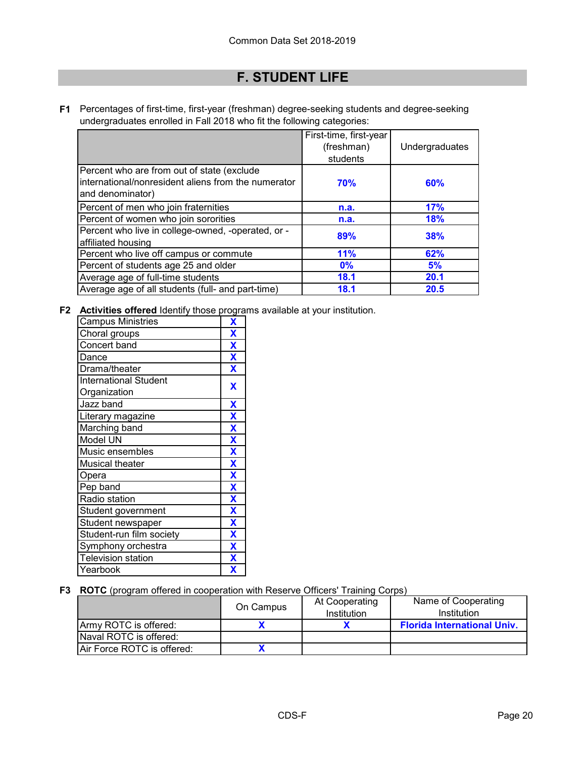# **F. STUDENT LIFE**

**F1** Percentages of first-time, first-year (freshman) degree-seeking students and degree-seeking undergraduates enrolled in Fall 2018 who fit the following categories:

|                                                                                                                        | First-time, first-year<br>(freshman)<br>students | Undergraduates |
|------------------------------------------------------------------------------------------------------------------------|--------------------------------------------------|----------------|
| Percent who are from out of state (exclude<br>Iinternational/nonresident aliens from the numerator<br>and denominator) | <b>70%</b>                                       | 60%            |
| Percent of men who join fraternities                                                                                   | n.a.                                             | 17%            |
| Percent of women who join sororities                                                                                   | n.a.                                             | 18%            |
| Percent who live in college-owned, -operated, or -<br>affiliated housing                                               | 89%                                              | <b>38%</b>     |
| Percent who live off campus or commute                                                                                 | <b>11%</b>                                       | 62%            |
| Percent of students age 25 and older                                                                                   | 0%                                               | 5%             |
| Average age of full-time students                                                                                      | 18.1                                             | 20.1           |
| Average age of all students (full- and part-time)                                                                      | <b>18.1</b>                                      | 20.5           |

**F2 Activities offered** Identify those programs available at your institution.

| <b>Campus Ministries</b>     | X                       |
|------------------------------|-------------------------|
| Choral groups                | X                       |
| Concert band                 | X                       |
| Dance                        | $\overline{\mathbf{X}}$ |
| Drama/theater                | X                       |
| <b>International Student</b> | X                       |
| Organization                 |                         |
| Jazz band                    | $\overline{\mathbf{X}}$ |
| Literary magazine            | $\overline{\mathbf{X}}$ |
| Marching band                | $\overline{\mathbf{X}}$ |
| Model UN                     | X                       |
| Music ensembles              | $\overline{\mathbf{X}}$ |
| <b>Musical theater</b>       | X                       |
| Opera                        | $\overline{\mathbf{X}}$ |
| Pep band                     | X                       |
| Radio station                | $\overline{\mathbf{X}}$ |
| Student government           | $\overline{\textbf{X}}$ |
| Student newspaper            | $\overline{\mathbf{X}}$ |
| Student-run film society     | $\overline{\textbf{X}}$ |
| Symphony orchestra           | $\overline{\mathbf{X}}$ |
| <b>Television station</b>    | $\overline{\mathbf{X}}$ |
| Yearbook                     | $\overline{\mathbf{X}}$ |

**F3 ROTC** (program offered in cooperation with Reserve Officers' Training Corps)

|                            | On Campus | At Cooperating<br>Institution | Name of Cooperating<br>Institution |
|----------------------------|-----------|-------------------------------|------------------------------------|
| IArmv ROTC is offered:     |           |                               | <b>Florida International Univ.</b> |
| Naval ROTC is offered:     |           |                               |                                    |
| Air Force ROTC is offered: |           |                               |                                    |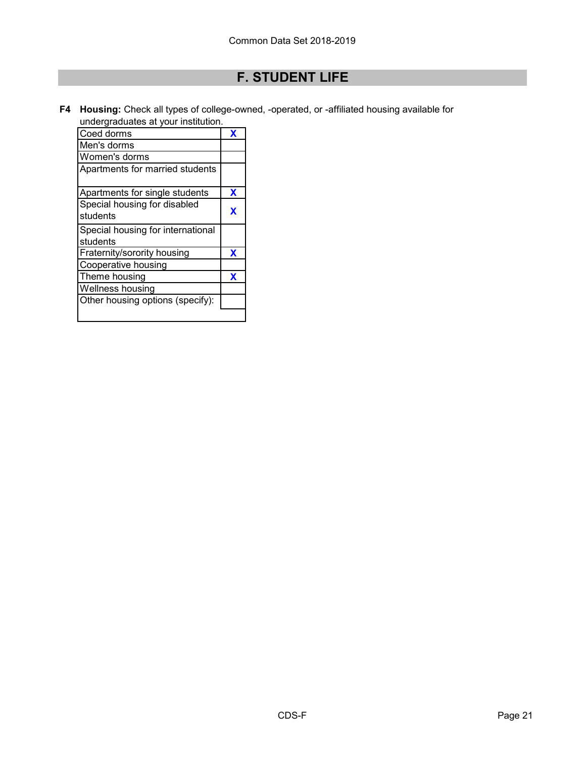# **F. STUDENT LIFE**

**F4 Housing:** Check all types of college-owned, -operated, or -affiliated housing available for undergraduates at your institution.

| Coed dorms                        | X |
|-----------------------------------|---|
| Men's dorms                       |   |
| Women's dorms                     |   |
| Apartments for married students   |   |
| Apartments for single students    | X |
| Special housing for disabled      |   |
| students                          | X |
| Special housing for international |   |
| students                          |   |
| Fraternity/sorority housing       | x |
| Cooperative housing               |   |
| Theme housing                     | х |
| Wellness housing                  |   |
| Other housing options (specify):  |   |
|                                   |   |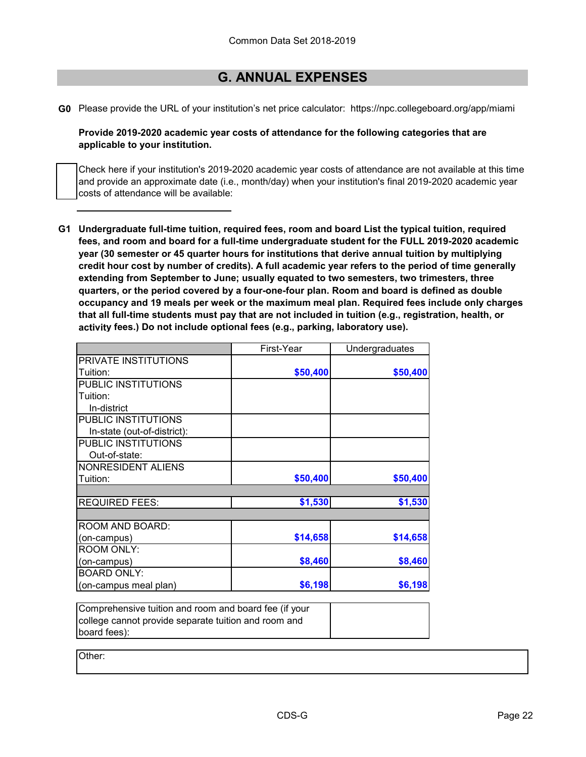### **G. ANNUAL EXPENSES**

**G0** Please provide the URL of your institution's net price calculator: https://npc.collegeboard.org/app/miami

**Provide 2019-2020 academic year costs of attendance for the following categories that are applicable to your institution.**

Check here if your institution's 2019-2020 academic year costs of attendance are not available at this time and provide an approximate date (i.e., month/day) when your institution's final 2019-2020 academic year costs of attendance will be available:

**G1 Undergraduate full-time tuition, required fees, room and board List the typical tuition, required fees, and room and board for a full-time undergraduate student for the FULL 2019-2020 academic year (30 semester or 45 quarter hours for institutions that derive annual tuition by multiplying credit hour cost by number of credits). A full academic year refers to the period of time generally extending from September to June; usually equated to two semesters, two trimesters, three quarters, or the period covered by a four-one-four plan. Room and board is defined as double occupancy and 19 meals per week or the maximum meal plan. Required fees include only charges that all full-time students must pay that are not included in tuition (e.g., registration, health, or activity fees.) Do not include optional fees (e.g., parking, laboratory use).**

| First-Year | Undergraduates |
|------------|----------------|
|            |                |
| \$50,400   | \$50,400       |
|            |                |
|            |                |
|            |                |
|            |                |
|            |                |
|            |                |
|            |                |
|            |                |
| \$50,400   | \$50,400       |
|            |                |
| \$1,530    | \$1,530        |
|            |                |
|            |                |
| \$14,658   | \$14,658       |
|            |                |
| \$8,460    | \$8,460        |
|            |                |
| \$6,198    | \$6,198        |
|            |                |

Comprehensive tuition and room and board fee (if your college cannot provide separate tuition and room and board fees):

Other: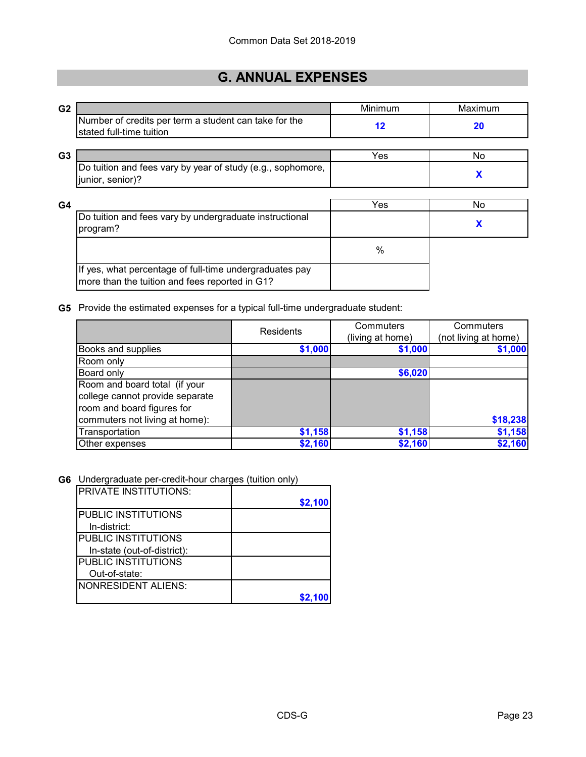# **G. ANNUAL EXPENSES**

| G <sub>2</sub> |                                                                                                           | Minimum | Maximum |
|----------------|-----------------------------------------------------------------------------------------------------------|---------|---------|
|                | Number of credits per term a student can take for the<br>stated full-time tuition                         | 12      | 20      |
| G <sub>3</sub> |                                                                                                           | Yes     | No.     |
|                | Do tuition and fees vary by year of study (e.g., sophomore,<br>junior, senior)?                           |         | X       |
| G <sub>4</sub> |                                                                                                           | Yes     | No      |
|                | Do tuition and fees vary by undergraduate instructional<br>program?                                       |         | X       |
|                |                                                                                                           | %       |         |
|                | If yes, what percentage of full-time undergraduates pay<br>more than the tuition and fees reported in G1? |         |         |

#### **G5** Provide the estimated expenses for a typical full-time undergraduate student:

|                                 | <b>Residents</b> | Commuters        | Commuters            |
|---------------------------------|------------------|------------------|----------------------|
|                                 |                  | (living at home) | (not living at home) |
| <b>Books and supplies</b>       | \$1,000          | \$1,000          | \$1,000              |
| Room only                       |                  |                  |                      |
| Board only                      |                  | \$6,020          |                      |
| Room and board total (if your   |                  |                  |                      |
| college cannot provide separate |                  |                  |                      |
| room and board figures for      |                  |                  |                      |
| commuters not living at home):  |                  |                  | \$18,238             |
| Transportation                  | \$1,158          | \$1,158          | \$1,158              |
| Other expenses                  | \$2,160          | \$2,160          | \$2,160              |

#### **G6** Undergraduate per-credit-hour charges (tuition only)

| <b>PRIVATE INSTITUTIONS:</b> | \$2,100 |
|------------------------------|---------|
| PUBLIC INSTITUTIONS          |         |
| In-district:                 |         |
| PUBLIC INSTITUTIONS          |         |
| In-state (out-of-district):  |         |
| PUBLIC INSTITUTIONS          |         |
| Out-of-state:                |         |
| NONRESIDENT ALIENS:          |         |
|                              |         |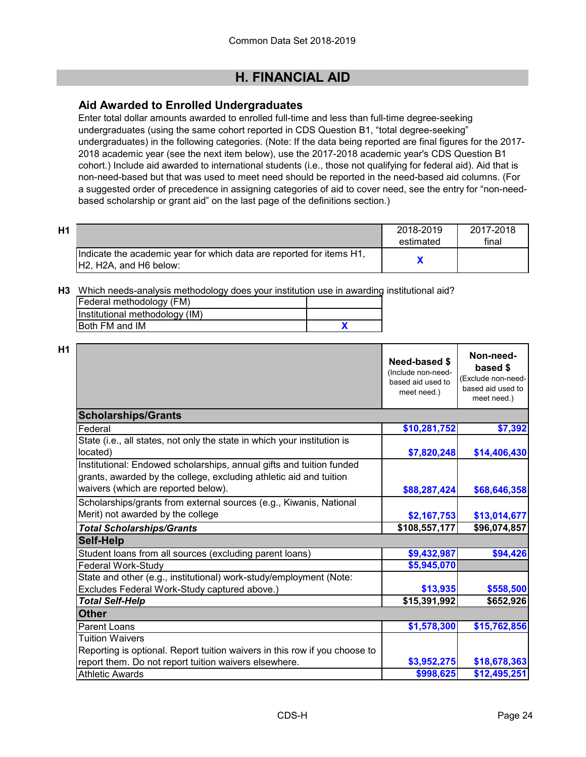### **Aid Awarded to Enrolled Undergraduates**

Enter total dollar amounts awarded to enrolled full-time and less than full-time degree-seeking undergraduates (using the same cohort reported in CDS Question B1, "total degree-seeking" undergraduates) in the following categories. (Note: If the data being reported are final figures for the 2017- 2018 academic year (see the next item below), use the 2017-2018 academic year's CDS Question B1 cohort.) Include aid awarded to international students (i.e., those not qualifying for federal aid). Aid that is non-need-based but that was used to meet need should be reported in the need-based aid columns. (For a suggested order of precedence in assigning categories of aid to cover need, see the entry for "non-needbased scholarship or grant aid" on the last page of the definitions section.)

| Η1 |                                                                      | 2018-2019 | 2017-2018 |
|----|----------------------------------------------------------------------|-----------|-----------|
|    |                                                                      | estimated | final     |
|    | Indicate the academic year for which data are reported for items H1, |           |           |
|    | IH2. H2A. and H6 below:                                              |           |           |

**H3** Which needs-analysis methodology does your institution use in awarding institutional aid?

| Federal methodology (FM)       |  |
|--------------------------------|--|
| Institutional methodology (IM) |  |
| <b>IBoth FM and IM</b>         |  |

**H1**

|                                                                            | Need-based \$<br>(Include non-need-<br>based aid used to<br>meet need.) | Non-need-<br>based \$<br>Exclude non-need-<br>based aid used to<br>meet need.) |
|----------------------------------------------------------------------------|-------------------------------------------------------------------------|--------------------------------------------------------------------------------|
| <b>Scholarships/Grants</b>                                                 |                                                                         |                                                                                |
| Federal                                                                    | \$10,281,752                                                            | \$7,392                                                                        |
| State (i.e., all states, not only the state in which your institution is   |                                                                         |                                                                                |
| located)                                                                   | \$7,820,248                                                             | \$14,406,430                                                                   |
| Institutional: Endowed scholarships, annual gifts and tuition funded       |                                                                         |                                                                                |
| grants, awarded by the college, excluding athletic aid and tuition         |                                                                         |                                                                                |
| waivers (which are reported below).                                        | \$88,287,424                                                            | \$68,646,358                                                                   |
| Scholarships/grants from external sources (e.g., Kiwanis, National         |                                                                         |                                                                                |
| Merit) not awarded by the college                                          | \$2,167,753                                                             | \$13,014,677                                                                   |
| <b>Total Scholarships/Grants</b>                                           | \$108,557,177                                                           | \$96,074,857                                                                   |
| <b>Self-Help</b>                                                           |                                                                         |                                                                                |
| Student loans from all sources (excluding parent loans)                    | \$9,432,987                                                             | \$94,426                                                                       |
| Federal Work-Study                                                         | \$5,945,070                                                             |                                                                                |
| State and other (e.g., institutional) work-study/employment (Note:         |                                                                         |                                                                                |
| Excludes Federal Work-Study captured above.)                               | \$13,935                                                                | \$558,500                                                                      |
| <b>Total Self-Help</b>                                                     | \$15,391,992                                                            | \$652,926                                                                      |
| <b>Other</b>                                                               |                                                                         |                                                                                |
| Parent Loans                                                               | \$1,578,300                                                             | \$15,762,856                                                                   |
| <b>Tuition Waivers</b>                                                     |                                                                         |                                                                                |
| Reporting is optional. Report tuition waivers in this row if you choose to |                                                                         |                                                                                |
| report them. Do not report tuition waivers elsewhere.                      | \$3,952,275                                                             | \$18,678,363                                                                   |
| <b>Athletic Awards</b>                                                     | \$998,625                                                               | \$12,495,251                                                                   |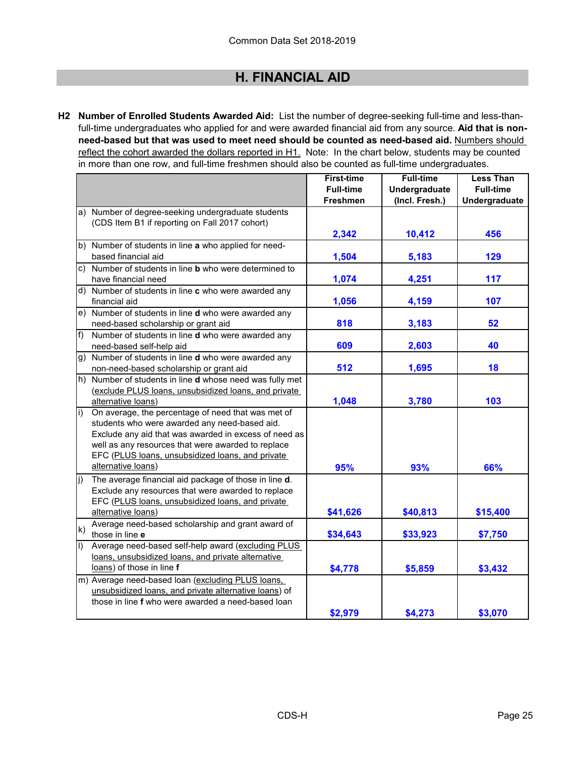**H2 Number of Enrolled Students Awarded Aid:** List the number of degree-seeking full-time and less-thanfull-time undergraduates who applied for and were awarded financial aid from any source. **Aid that is nonneed-based but that was used to meet need should be counted as need-based aid.** Numbers should reflect the cohort awarded the dollars reported in H1. Note: In the chart below, students may be counted in more than one row, and full-time freshmen should also be counted as full-time undergraduates.

|              |                                                                 | <b>First-time</b> | <b>Full-time</b> | <b>Less Than</b> |
|--------------|-----------------------------------------------------------------|-------------------|------------------|------------------|
|              |                                                                 | <b>Full-time</b>  | Undergraduate    | <b>Full-time</b> |
|              |                                                                 | <b>Freshmen</b>   | (Incl. Fresh.)   | Undergraduate    |
|              | a) Number of degree-seeking undergraduate students              |                   |                  |                  |
|              | (CDS Item B1 if reporting on Fall 2017 cohort)                  |                   |                  |                  |
|              |                                                                 | 2,342             | 10,412           | 456              |
|              | b) Number of students in line a who applied for need-           |                   |                  |                  |
|              | based financial aid                                             | 1,504             | 5,183            | 129              |
|              | c) Number of students in line <b>b</b> who were determined to   |                   |                  |                  |
|              | have financial need                                             | 1,074             | 4,251            | 117              |
|              | d) Number of students in line c who were awarded any            |                   |                  |                  |
|              | financial aid                                                   | 1,056             | 4,159            | 107              |
|              | e) Number of students in line d who were awarded any            |                   |                  |                  |
|              | need-based scholarship or grant aid                             | 818               | 3,183            | 52               |
| f)           | Number of students in line d who were awarded any               |                   |                  |                  |
|              | need-based self-help aid                                        | 609               | 2,603            | 40               |
|              | g) Number of students in line d who were awarded any            |                   |                  |                  |
|              | non-need-based scholarship or grant aid                         | 512               | 1,695            | 18               |
|              | h) Number of students in line <b>d</b> whose need was fully met |                   |                  |                  |
|              | (exclude PLUS loans, unsubsidized loans, and private            |                   |                  |                  |
|              | alternative loans)                                              | 1,048             | 3,780            | 103              |
| i)           | On average, the percentage of need that was met of              |                   |                  |                  |
|              | students who were awarded any need-based aid.                   |                   |                  |                  |
|              | Exclude any aid that was awarded in excess of need as           |                   |                  |                  |
|              | well as any resources that were awarded to replace              |                   |                  |                  |
|              | EFC (PLUS loans, unsubsidized loans, and private                |                   |                  |                  |
|              | alternative loans)                                              | 95%               | 93%              | 66%              |
| j)           | The average financial aid package of those in line d.           |                   |                  |                  |
|              | Exclude any resources that were awarded to replace              |                   |                  |                  |
|              | EFC (PLUS loans, unsubsidized loans, and private                |                   |                  |                  |
|              | alternative loans)                                              | \$41,626          | \$40,813         | \$15,400         |
| $\mathsf{k}$ | Average need-based scholarship and grant award of               |                   |                  |                  |
|              | those in line e                                                 | \$34,643          | \$33,923         | \$7,750          |
| $\vert$      | Average need-based self-help award (excluding PLUS              |                   |                  |                  |
|              | loans, unsubsidized loans, and private alternative              |                   |                  |                  |
|              | loans) of those in line f                                       | \$4,778           | \$5,859          | \$3,432          |
|              | m) Average need-based loan (excluding PLUS loans,               |                   |                  |                  |
|              | unsubsidized loans, and private alternative loans) of           |                   |                  |                  |
|              | those in line f who were awarded a need-based loan              |                   |                  |                  |
|              |                                                                 | \$2,979           | \$4,273          | \$3,070          |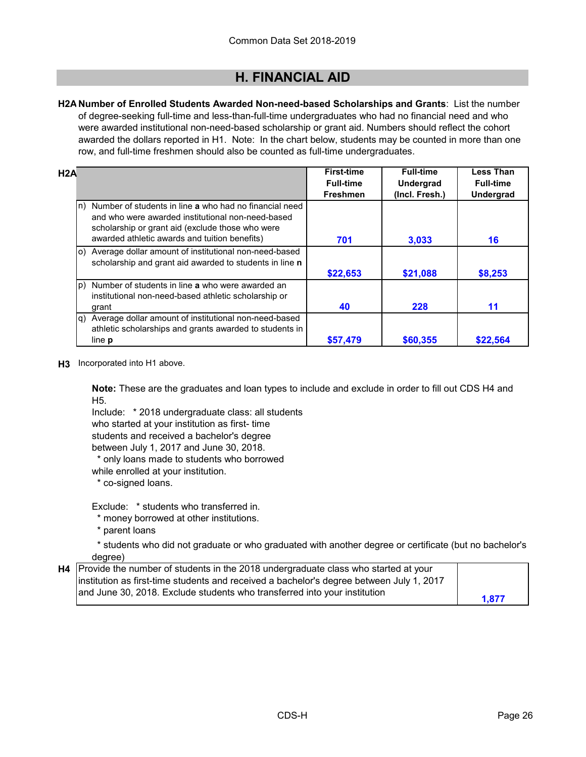**H2A Number of Enrolled Students Awarded Non-need-based Scholarships and Grants**: List the number of degree-seeking full-time and less-than-full-time undergraduates who had no financial need and who were awarded institutional non-need-based scholarship or grant aid. Numbers should reflect the cohort awarded the dollars reported in H1. Note: In the chart below, students may be counted in more than one row, and full-time freshmen should also be counted as full-time undergraduates.

| H2A |                                                                                                                                                                    | <b>First-time</b> | <b>Full-time</b> | <b>Less Than</b> |
|-----|--------------------------------------------------------------------------------------------------------------------------------------------------------------------|-------------------|------------------|------------------|
|     |                                                                                                                                                                    | <b>Full-time</b>  | <b>Undergrad</b> | <b>Full-time</b> |
|     |                                                                                                                                                                    | <b>Freshmen</b>   | (Incl. Fresh.)   | <b>Undergrad</b> |
|     | n) Number of students in line a who had no financial need<br>and who were awarded institutional non-need-based<br>scholarship or grant aid (exclude those who were |                   |                  |                  |
|     | awarded athletic awards and tuition benefits)                                                                                                                      | 701               | 3,033            | 16               |
|     | o) Average dollar amount of institutional non-need-based<br>scholarship and grant aid awarded to students in line n                                                |                   |                  |                  |
|     |                                                                                                                                                                    | \$22,653          | \$21,088         | \$8,253          |
|     | p) Number of students in line <b>a</b> who were awarded an<br>institutional non-need-based athletic scholarship or                                                 |                   |                  |                  |
|     | grant                                                                                                                                                              | 40                | 228              | 11               |
|     | q) Average dollar amount of institutional non-need-based<br>athletic scholarships and grants awarded to students in                                                |                   |                  |                  |
|     | line <b>p</b>                                                                                                                                                      | \$57,479          | \$60,355         | \$22.564         |

**H3** Incorporated into H1 above.

**Note:** These are the graduates and loan types to include and exclude in order to fill out CDS H4 and H5.

Include: \* 2018 undergraduate class: all students who started at your institution as first- time students and received a bachelor's degree between July 1, 2017 and June 30, 2018.

\* only loans made to students who borrowed

while enrolled at your institution.

\* co-signed loans.

Exclude: \* students who transferred in.

\* money borrowed at other institutions.

\* parent loans

 \* students who did not graduate or who graduated with another degree or certificate (but no bachelor's degree)

| H4 Provide the number of students in the 2018 undergraduate class who started at your    |       |
|------------------------------------------------------------------------------------------|-------|
| institution as first-time students and received a bachelor's degree between July 1, 2017 |       |
| and June 30, 2018. Exclude students who transferred into your institution                |       |
|                                                                                          | 1.877 |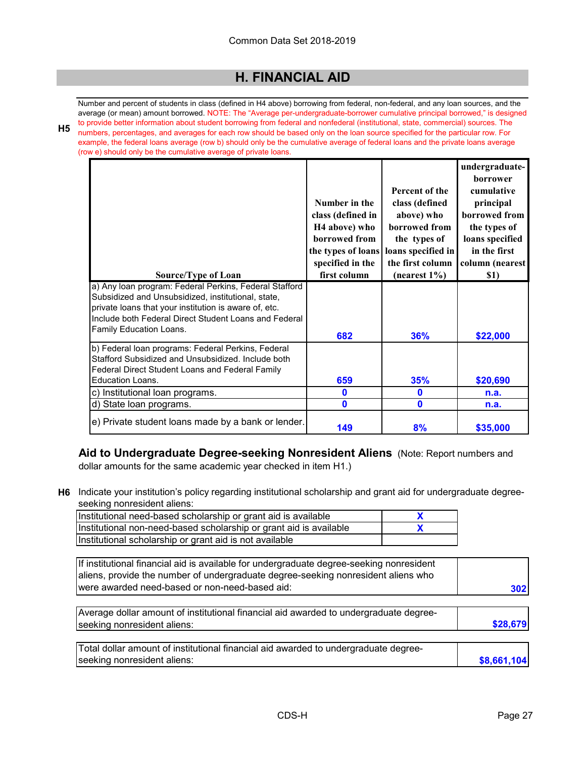**H5** Number and percent of students in class (defined in H4 above) borrowing from federal, non-federal, and any loan sources, and the average (or mean) amount borrowed. NOTE: The "Average per-undergraduate-borrower cumulative principal borrowed," is designed to provide better information about student borrowing from federal and nonfederal (institutional, state, commercial) sources. The numbers, percentages, and averages for each row should be based only on the loan source specified for the particular row. For example, the federal loans average (row b) should only be the cumulative average of federal loans and the private loans average (row e) should only be the cumulative average of private loans.

| w e) should only be the cumulative average of private loans. |                           |                    |                 |
|--------------------------------------------------------------|---------------------------|--------------------|-----------------|
|                                                              |                           |                    | undergraduate-  |
|                                                              |                           |                    | <b>borrower</b> |
|                                                              |                           | Percent of the     | cumulative      |
|                                                              | Number in the             | class (defined     | principal       |
|                                                              | class (defined in         | above) who         | borrowed from   |
|                                                              | H <sub>4</sub> above) who | borrowed from      | the types of    |
|                                                              | borrowed from             | the types of       | loans specified |
|                                                              | the types of loans        | loans specified in | in the first    |
|                                                              |                           |                    |                 |
|                                                              | specified in the          | the first column   | column (nearest |
| Source/Type of Loan                                          | first column              | (nearest $1\%$ )   | \$1)            |
| a) Any loan program: Federal Perkins, Federal Stafford       |                           |                    |                 |
| Subsidized and Unsubsidized, institutional, state,           |                           |                    |                 |
| private loans that your institution is aware of, etc.        |                           |                    |                 |
| Include both Federal Direct Student Loans and Federal        |                           |                    |                 |
| Family Education Loans.                                      | 682                       | 36%                | \$22,000        |
|                                                              |                           |                    |                 |
| b) Federal loan programs: Federal Perkins, Federal           |                           |                    |                 |
| Stafford Subsidized and Unsubsidized. Include both           |                           |                    |                 |
| Federal Direct Student Loans and Federal Family              |                           |                    |                 |
| <b>Education Loans.</b>                                      | 659                       | 35%                | \$20,690        |
| c) Institutional loan programs.                              | $\mathbf 0$               | $\mathbf 0$        | n.a.            |
| d) State loan programs.                                      | $\mathbf 0$               | $\mathbf{0}$       | n.a.            |
| e) Private student loans made by a bank or lender.           | 149                       | 8%                 | \$35,000        |

**Aid to Undergraduate Degree-seeking Nonresident Aliens** (Note: Report numbers and dollar amounts for the same academic year checked in item H1.)

**H6** Indicate your institution's policy regarding institutional scholarship and grant aid for undergraduate degreeseeking nonresident aliens:

| Institutional need-based scholarship or grant aid is available     |  |
|--------------------------------------------------------------------|--|
| Institutional non-need-based scholarship or grant aid is available |  |
| Institutional scholarship or grant aid is not available            |  |

| If institutional financial aid is available for undergraduate degree-seeking nonresident |     |
|------------------------------------------------------------------------------------------|-----|
| aliens, provide the number of undergraduate degree-seeking nonresident aliens who        |     |
| Iwere awarded need-based or non-need-based aid:                                          | 302 |

| Average dollar amount of institutional financial aid awarded to undergraduate degree- |          |
|---------------------------------------------------------------------------------------|----------|
| seeking nonresident aliens:                                                           | \$28.679 |
|                                                                                       |          |

| Total dollar amount of institutional financial aid awarded to undergraduate degree- |             |
|-------------------------------------------------------------------------------------|-------------|
| seeking nonresident aliens:                                                         | \$8,661,104 |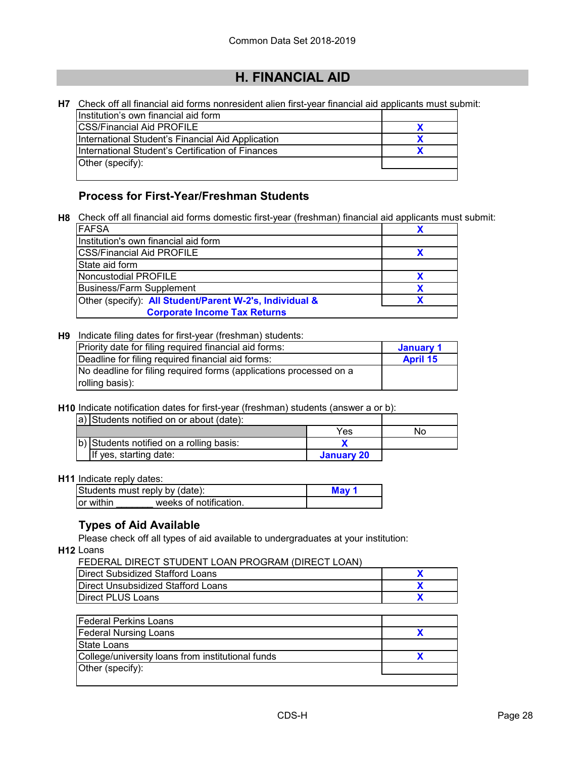**H7** Check off all financial aid forms nonresident alien first-year financial aid applicants must submit:

| Institution's own financial aid form              |  |
|---------------------------------------------------|--|
| <b>ICSS/Financial Aid PROFILE</b>                 |  |
| International Student's Financial Aid Application |  |
| International Student's Certification of Finances |  |
| Other (specify):                                  |  |
|                                                   |  |

### **Process for First-Year/Freshman Students**

**H8** Check off all financial aid forms domestic first-year (freshman) financial aid applicants must submit:

| IFAFSA                                                  |  |
|---------------------------------------------------------|--|
| Institution's own financial aid form                    |  |
| <b>CSS/Financial Aid PROFILE</b>                        |  |
| <b>State aid form</b>                                   |  |
| Noncustodial PROFILE                                    |  |
| <b>Business/Farm Supplement</b>                         |  |
| Other (specify): All Student/Parent W-2's, Individual & |  |
| <b>Corporate Income Tax Returns</b>                     |  |

#### **H9** Indicate filing dates for first-year (freshman) students:

| Priority date for filing required financial aid forms:             | January 1       |
|--------------------------------------------------------------------|-----------------|
| Deadline for filing required financial aid forms:                  | <b>April 15</b> |
| No deadline for filing required forms (applications processed on a |                 |
| rolling basis):                                                    |                 |

**H10** Indicate notification dates for first-year (freshman) students (answer a or b):

| a) Students notified on or about (date): |            |    |
|------------------------------------------|------------|----|
|                                          | Yes        | Nο |
| b) Students notified on a rolling basis: |            |    |
| If yes, starting date:                   | January 20 |    |

### **H11** Indicate reply dates:

| Students must reply by (date): | May 1                  |  |
|--------------------------------|------------------------|--|
| or within                      | weeks of notification. |  |

### **Types of Aid Available**

Please check off all types of aid available to undergraduates at your institution:

**H12** Loans

| FEDERAL DIRECT STUDENT LOAN PROGRAM (DIRECT LOAN) |   |
|---------------------------------------------------|---|
| <b>Direct Subsidized Stafford Loans</b>           | X |
| Direct Unsubsidized Stafford Loans                |   |
| <b>Direct PLUS Loans</b>                          |   |
|                                                   |   |
| <b>Federal Perkins Loans</b>                      |   |
| <b>Federal Nursing Loans</b>                      |   |
| State Loans                                       |   |
| College/university loans from institutional funds | X |
| Other (specify):                                  |   |
|                                                   |   |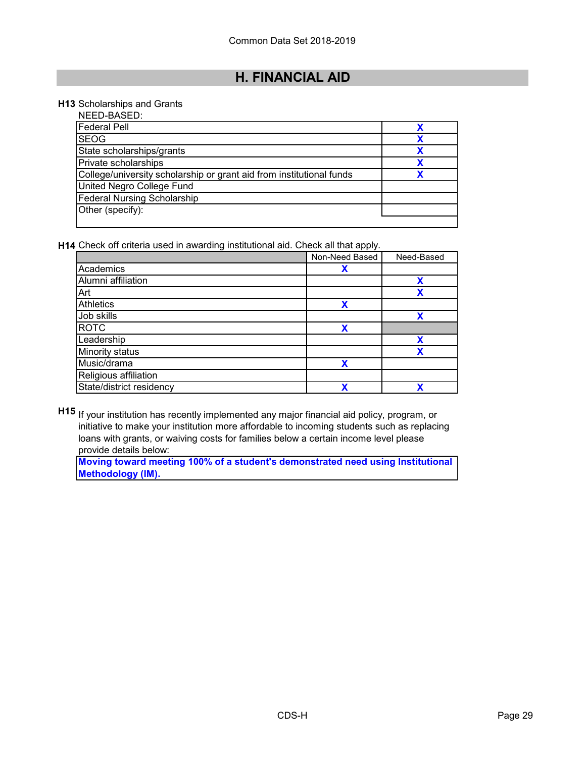#### **H13** Scholarships and Grants

| NEED-BASED:                                                          |  |
|----------------------------------------------------------------------|--|
| <b>Federal Pell</b>                                                  |  |
| <b>SEOG</b>                                                          |  |
| State scholarships/grants                                            |  |
| Private scholarships                                                 |  |
| College/university scholarship or grant aid from institutional funds |  |
| United Negro College Fund                                            |  |
| <b>Federal Nursing Scholarship</b>                                   |  |
| Other (specify):                                                     |  |
|                                                                      |  |

**H14** Check off criteria used in awarding institutional aid. Check all that apply.

|                          | Non-Need Based | Need-Based |
|--------------------------|----------------|------------|
| Academics                | Х              |            |
| Alumni affiliation       |                | χ          |
| Art                      |                | χ          |
| Athletics                | X              |            |
| Job skills               |                | X          |
| <b>ROTC</b>              | χ              |            |
| Leadership               |                | X          |
| Minority status          |                | χ          |
| Music/drama              | X              |            |
| Religious affiliation    |                |            |
| State/district residency | v              | X          |

**H15** If your institution has recently implemented any major financial aid policy, program, or initiative to make your institution more affordable to incoming students such as replacing loans with grants, or waiving costs for families below a certain income level please provide details below:

**Moving toward meeting 100% of a student's demonstrated need using Institutional Methodology (IM).**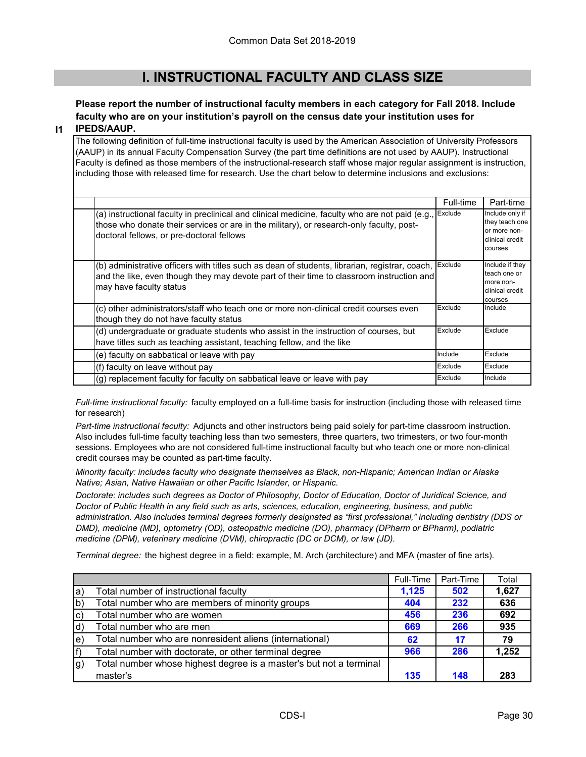# **I. INSTRUCTIONAL FACULTY AND CLASS SIZE**

#### **Please report the number of instructional faculty members in each category for Fall 2018. Include faculty who are on your institution's payroll on the census date your institution uses for IPEDS/AAUP.**

#### **I1**

The following definition of full-time instructional faculty is used by the American Association of University Professors (AAUP) in its annual Faculty Compensation Survey (the part time definitions are not used by AAUP). Instructional Faculty is defined as those members of the instructional-research staff whose major regular assignment is instruction, including those with released time for research. Use the chart below to determine inclusions and exclusions:

|                                                                                                                                                                                                                                                  | Full-time | Part-time                                                                       |
|--------------------------------------------------------------------------------------------------------------------------------------------------------------------------------------------------------------------------------------------------|-----------|---------------------------------------------------------------------------------|
| (a) instructional faculty in preclinical and clinical medicine, faculty who are not paid (e.g., Exclude<br>those who donate their services or are in the military), or research-only faculty, post-<br>doctoral fellows, or pre-doctoral fellows |           | Include only if<br>they teach one<br>or more non-<br>clinical credit<br>courses |
| (b) administrative officers with titles such as dean of students, librarian, registrar, coach,<br>and the like, even though they may devote part of their time to classroom instruction and<br>may have faculty status                           | Exclude   | Include if they<br>teach one or<br>more non-<br>clinical credit<br>courses      |
| (c) other administrators/staff who teach one or more non-clinical credit courses even<br>though they do not have faculty status                                                                                                                  | Exclude   | Include                                                                         |
| (d) undergraduate or graduate students who assist in the instruction of courses, but<br>have titles such as teaching assistant, teaching fellow, and the like                                                                                    | Exclude   | Exclude                                                                         |
| (e) faculty on sabbatical or leave with pay                                                                                                                                                                                                      | Include   | Exclude                                                                         |
| (f) faculty on leave without pay                                                                                                                                                                                                                 | Exclude   | Exclude                                                                         |
| (g) replacement faculty for faculty on sabbatical leave or leave with pay                                                                                                                                                                        | Exclude   | Include                                                                         |

*Full-time instructional faculty:* faculty employed on a full-time basis for instruction (including those with released time for research)

*Part-time instructional faculty:* Adjuncts and other instructors being paid solely for part-time classroom instruction. Also includes full-time faculty teaching less than two semesters, three quarters, two trimesters, or two four-month sessions. Employees who are not considered full-time instructional faculty but who teach one or more non-clinical credit courses may be counted as part-time faculty.

*Minority faculty: includes faculty who designate themselves as Black, non-Hispanic; American Indian or Alaska Native; Asian, Native Hawaiian or other Pacific Islander, or Hispanic.* 

*Doctorate: includes such degrees as Doctor of Philosophy, Doctor of Education, Doctor of Juridical Science, and Doctor of Public Health in any field such as arts, sciences, education, engineering, business, and public administration. Also includes terminal degrees formerly designated as "first professional," including dentistry (DDS or DMD), medicine (MD), optometry (OD), osteopathic medicine (DO), pharmacy (DPharm or BPharm), podiatric medicine (DPM), veterinary medicine (DVM), chiropractic (DC or DCM), or law (JD).*

*Terminal degree:* the highest degree in a field: example, M. Arch (architecture) and MFA (master of fine arts).

|              |                                                                    | Full-Time | Part-Time | Total |
|--------------|--------------------------------------------------------------------|-----------|-----------|-------|
| la)          | Total number of instructional faculty                              | 1,125     | 502       | 1,627 |
| b)           | Total number who are members of minority groups                    | 404       | 232       | 636   |
| [c           | Total number who are women                                         | 456       | 236       | 692   |
| $\mathsf{d}$ | Total number who are men                                           | 669       | 266       | 935   |
| le)          | Total number who are nonresident aliens (international)            | 62        | 17        | 79    |
| f)           | Total number with doctorate, or other terminal degree              | 966       | 286       | 1,252 |
| lg)          | Total number whose highest degree is a master's but not a terminal |           |           |       |
|              | master's                                                           | 135       | 148       | 283   |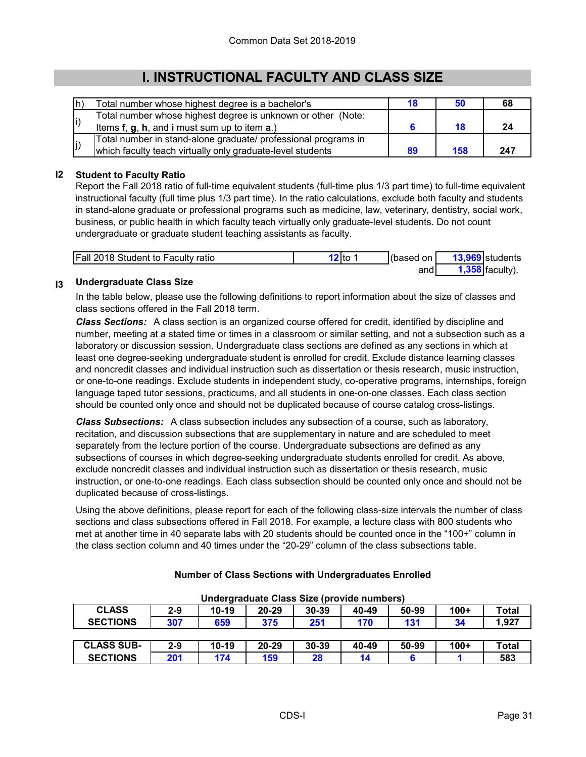# **I. INSTRUCTIONAL FACULTY AND CLASS SIZE**

| lh) | Total number whose highest degree is a bachelor's              |    |     | 68  |
|-----|----------------------------------------------------------------|----|-----|-----|
| li) | Total number whose highest degree is unknown or other (Note:   |    |     |     |
|     | Items $f, g, h$ , and i must sum up to item $a$ .)             |    |     | -24 |
|     | Total number in stand-alone graduate/ professional programs in |    |     |     |
| J)  | which faculty teach virtually only graduate-level students     | 89 | 158 | 247 |

### **I2 Student to Faculty Ratio**

Report the Fall 2018 ratio of full-time equivalent students (full-time plus 1/3 part time) to full-time equivalent instructional faculty (full time plus 1/3 part time). In the ratio calculations, exclude both faculty and students in stand-alone graduate or professional programs such as medicine, law, veterinary, dentistry, social work, business, or public health in which faculty teach virtually only graduate-level students. Do not count undergraduate or graduate student teaching assistants as faculty.

| <b>Fall 2018 Student to Faculty ratio</b> | <b>l</b> to | (based on l | 13,969 students   |
|-------------------------------------------|-------------|-------------|-------------------|
|                                           |             | and∣        | $1,358$ faculty). |

#### **I3 Undergraduate Class Size**

In the table below, please use the following definitions to report information about the size of classes and class sections offered in the Fall 2018 term.

*Class Sections:* A class section is an organized course offered for credit, identified by discipline and number, meeting at a stated time or times in a classroom or similar setting, and not a subsection such as a laboratory or discussion session. Undergraduate class sections are defined as any sections in which at least one degree-seeking undergraduate student is enrolled for credit. Exclude distance learning classes and noncredit classes and individual instruction such as dissertation or thesis research, music instruction, or one-to-one readings. Exclude students in independent study, co-operative programs, internships, foreign language taped tutor sessions, practicums, and all students in one-on-one classes. Each class section should be counted only once and should not be duplicated because of course catalog cross-listings.

*Class Subsections:* A class subsection includes any subsection of a course, such as laboratory, recitation, and discussion subsections that are supplementary in nature and are scheduled to meet separately from the lecture portion of the course. Undergraduate subsections are defined as any subsections of courses in which degree-seeking undergraduate students enrolled for credit. As above, exclude noncredit classes and individual instruction such as dissertation or thesis research, music instruction, or one-to-one readings. Each class subsection should be counted only once and should not be duplicated because of cross-listings.

Using the above definitions, please report for each of the following class-size intervals the number of class sections and class subsections offered in Fall 2018. For example, a lecture class with 800 students who met at another time in 40 separate labs with 20 students should be counted once in the "100+" column in the class section column and 40 times under the "20-29" column of the class subsections table.

| <u>UNUSIYIYYU OMOS ULU IDIVIYU MUMDUSI</u> |         |           |           |           |       |       |        |       |
|--------------------------------------------|---------|-----------|-----------|-----------|-------|-------|--------|-------|
| <b>CLASS</b>                               | $2 - 9$ | $10 - 19$ | $20 - 29$ | $30 - 39$ | 40-49 | 50-99 | $100+$ | Total |
| <b>SECTIONS</b>                            | 307     | 659       | 375       | 251       | 170   | 131   | 34     | 1,927 |
|                                            |         |           |           |           |       |       |        |       |
| <b>CLASS SUB-</b>                          | $2-9$   | $10 - 19$ | $20 - 29$ | $30 - 39$ | 40-49 | 50-99 | $100+$ | Total |
| <b>SECTIONS</b>                            | 201     | 174       | 159       | 28        | 14    |       |        | 583   |

### **Number of Class Sections with Undergraduates Enrolled**

**Undergraduate Class Size (provide numbers)**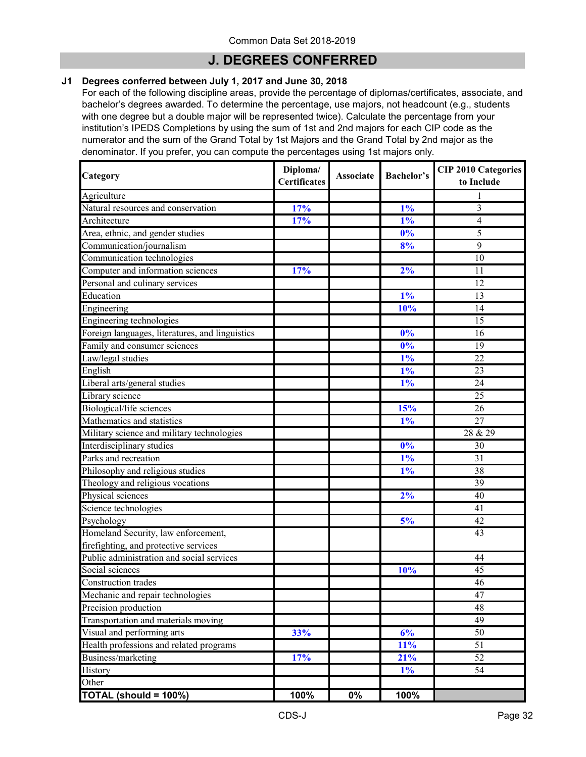### **J. DEGREES CONFERRED**

#### **J1 Degrees conferred between July 1, 2017 and June 30, 2018**

For each of the following discipline areas, provide the percentage of diplomas/certificates, associate, and bachelor's degrees awarded. To determine the percentage, use majors, not headcount (e.g., students with one degree but a double major will be represented twice). Calculate the percentage from your institution's IPEDS Completions by using the sum of 1st and 2nd majors for each CIP code as the numerator and the sum of the Grand Total by 1st Majors and the Grand Total by 2nd major as the denominator. If you prefer, you can compute the percentages using 1st majors only.

| Category                                        | Diploma/<br><b>Certificates</b> | <b>Associate</b> | <b>Bachelor's</b> | <b>CIP 2010 Categories</b><br>to Include |  |
|-------------------------------------------------|---------------------------------|------------------|-------------------|------------------------------------------|--|
| Agriculture                                     |                                 |                  |                   |                                          |  |
| Natural resources and conservation              | 17%                             |                  | $1\%$             | $\overline{\mathbf{3}}$                  |  |
| Architecture                                    | 17%                             |                  | $1\%$             | $\overline{4}$                           |  |
| Area, ethnic, and gender studies                |                                 |                  | 0%                | 5                                        |  |
| Communication/journalism                        |                                 |                  | 8%                | $\overline{9}$                           |  |
| Communication technologies                      |                                 |                  |                   | 10                                       |  |
| Computer and information sciences               | 17%                             |                  | 2%                | 11                                       |  |
| Personal and culinary services                  |                                 |                  |                   | 12                                       |  |
| Education                                       |                                 |                  | $1\%$             | 13                                       |  |
| Engineering                                     |                                 |                  | 10%               | 14                                       |  |
| Engineering technologies                        |                                 |                  |                   | 15                                       |  |
| Foreign languages, literatures, and linguistics |                                 |                  | 0%                | 16                                       |  |
| Family and consumer sciences                    |                                 |                  | 0%                | 19                                       |  |
| Law/legal studies                               |                                 |                  | $1\%$             | 22                                       |  |
| English                                         |                                 |                  | $1\%$             | 23                                       |  |
| Liberal arts/general studies                    |                                 |                  | $1\%$             | 24                                       |  |
| Library science                                 |                                 |                  |                   | $\overline{25}$                          |  |
| Biological/life sciences                        |                                 |                  | 15%               | 26                                       |  |
| Mathematics and statistics                      |                                 |                  | $1\%$             | 27                                       |  |
| Military science and military technologies      |                                 |                  |                   | 28 & 29                                  |  |
| Interdisciplinary studies                       |                                 |                  | 0%                | 30                                       |  |
| Parks and recreation                            |                                 |                  | $1\%$             | $\overline{31}$                          |  |
| Philosophy and religious studies                |                                 |                  | $1\%$             | 38                                       |  |
| Theology and religious vocations                |                                 |                  |                   | 39                                       |  |
| Physical sciences                               |                                 |                  | 2%                | 40                                       |  |
| Science technologies                            |                                 |                  |                   | 41                                       |  |
| Psychology                                      |                                 |                  | 5%                | $\overline{42}$                          |  |
| Homeland Security, law enforcement,             |                                 |                  |                   | 43                                       |  |
| firefighting, and protective services           |                                 |                  |                   |                                          |  |
| Public administration and social services       |                                 |                  |                   | 44                                       |  |
| Social sciences                                 |                                 |                  | 10%               | 45                                       |  |
| Construction trades                             |                                 |                  |                   | 46                                       |  |
| Mechanic and repair technologies                |                                 |                  |                   | $\overline{47}$                          |  |
| Precision production                            |                                 |                  |                   | $\overline{48}$                          |  |
| Transportation and materials moving             |                                 |                  |                   | $\overline{49}$                          |  |
| Visual and performing arts                      | 33%                             |                  | 6%                | 50                                       |  |
| Health professions and related programs         |                                 |                  | 11%               | 51                                       |  |
| Business/marketing                              | 17%                             |                  | 21%               | 52                                       |  |
| History                                         |                                 |                  | $1\%$             | 54                                       |  |
| Other                                           |                                 |                  |                   |                                          |  |
| TOTAL (should = 100%)                           | 100%                            | $0\%$            | 100%              |                                          |  |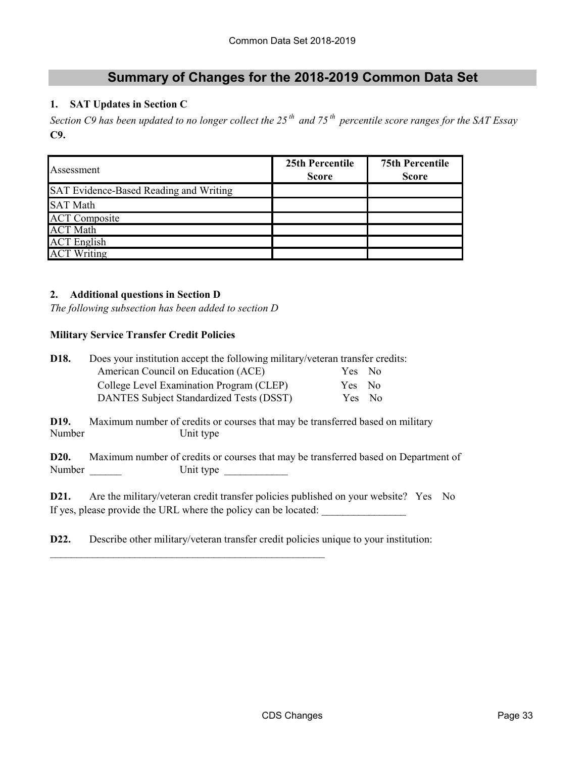### **Summary of Changes for the 2018-2019 Common Data Set**

### **1. SAT Updates in Section C**

*Section C9 has been updated to no longer collect the 25 th and 75 th percentile score ranges for the SAT Essay* **C9.**

| Assessment                             | 25th Percentile<br><b>Score</b> | <b>75th Percentile</b><br><b>Score</b> |  |  |
|----------------------------------------|---------------------------------|----------------------------------------|--|--|
| SAT Evidence-Based Reading and Writing |                                 |                                        |  |  |
| <b>SAT Math</b>                        |                                 |                                        |  |  |
| <b>ACT Composite</b>                   |                                 |                                        |  |  |
| <b>ACT Math</b>                        |                                 |                                        |  |  |
| <b>ACT</b> English                     |                                 |                                        |  |  |
| <b>ACT Writing</b>                     |                                 |                                        |  |  |

#### **2. Additional questions in Section D**

*The following subsection has been added to section D*

#### **Military Service Transfer Credit Policies**

| D18.                        | Does your institution accept the following military/veteran transfer credits:<br>American Council on Education (ACE)                                   | Yes No |  |  |  |  |
|-----------------------------|--------------------------------------------------------------------------------------------------------------------------------------------------------|--------|--|--|--|--|
|                             | College Level Examination Program (CLEP)                                                                                                               | Yes No |  |  |  |  |
|                             | DANTES Subject Standardized Tests (DSST)                                                                                                               | Yes No |  |  |  |  |
| D19.<br>Number              | Maximum number of credits or courses that may be transferred based on military<br>Unit type                                                            |        |  |  |  |  |
| D <sub>20</sub> .<br>Number | Maximum number of credits or courses that may be transferred based on Department of<br>Unit type                                                       |        |  |  |  |  |
| D21.                        | Are the military/veteran credit transfer policies published on your website? Yes No<br>If yes, please provide the URL where the policy can be located: |        |  |  |  |  |

**D22.** Describe other military/veteran transfer credit policies unique to your institution:

\_\_\_\_\_\_\_\_\_\_\_\_\_\_\_\_\_\_\_\_\_\_\_\_\_\_\_\_\_\_\_\_\_\_\_\_\_\_\_\_\_\_\_\_\_\_\_\_\_\_\_\_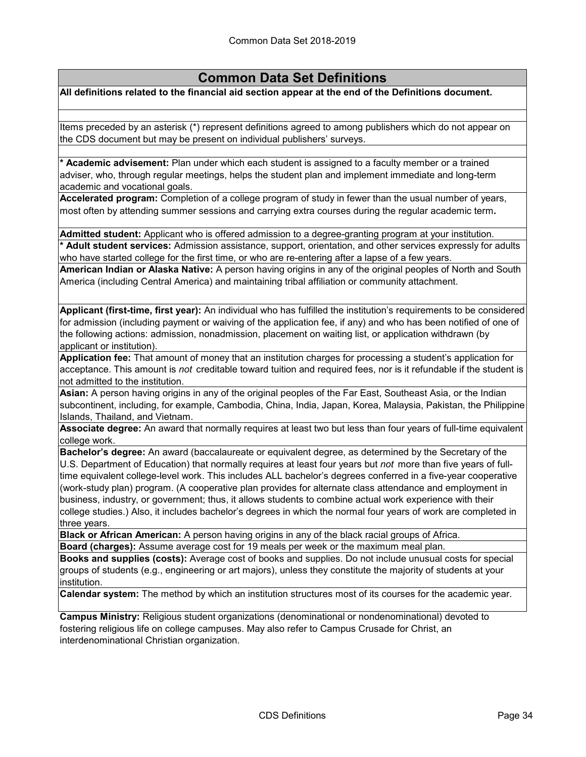**All definitions related to the financial aid section appear at the end of the Definitions document.**

Items preceded by an asterisk (\*) represent definitions agreed to among publishers which do not appear on the CDS document but may be present on individual publishers' surveys.

**\* Academic advisement:** Plan under which each student is assigned to a faculty member or a trained adviser, who, through regular meetings, helps the student plan and implement immediate and long-term academic and vocational goals.

**Accelerated program:** Completion of a college program of study in fewer than the usual number of years, most often by attending summer sessions and carrying extra courses during the regular academic term**.**

**Admitted student:** Applicant who is offered admission to a degree-granting program at your institution. **\* Adult student services:** Admission assistance, support, orientation, and other services expressly for adults

who have started college for the first time, or who are re-entering after a lapse of a few years.

**American Indian or Alaska Native:** A person having origins in any of the original peoples of North and South America (including Central America) and maintaining tribal affiliation or community attachment.

**Applicant (first-time, first year):** An individual who has fulfilled the institution's requirements to be considered for admission (including payment or waiving of the application fee, if any) and who has been notified of one of the following actions: admission, nonadmission, placement on waiting list, or application withdrawn (by applicant or institution).

**Application fee:** That amount of money that an institution charges for processing a student's application for acceptance. This amount is *not* creditable toward tuition and required fees, nor is it refundable if the student is not admitted to the institution.

**Asian:** A person having origins in any of the original peoples of the Far East, Southeast Asia, or the Indian subcontinent, including, for example, Cambodia, China, India, Japan, Korea, Malaysia, Pakistan, the Philippine Islands, Thailand, and Vietnam.

**Associate degree:** An award that normally requires at least two but less than four years of full-time equivalent college work.

**Bachelor's degree:** An award (baccalaureate or equivalent degree, as determined by the Secretary of the U.S. Department of Education) that normally requires at least four years but *not* more than five years of fulltime equivalent college-level work. This includes ALL bachelor's degrees conferred in a five-year cooperative (work-study plan) program. (A cooperative plan provides for alternate class attendance and employment in business, industry, or government; thus, it allows students to combine actual work experience with their college studies.) Also, it includes bachelor's degrees in which the normal four years of work are completed in three years.

**Black or African American:** A person having origins in any of the black racial groups of Africa. **Board (charges):** Assume average cost for 19 meals per week or the maximum meal plan.

**Books and supplies (costs):** Average cost of books and supplies. Do not include unusual costs for special groups of students (e.g., engineering or art majors), unless they constitute the majority of students at your institution.

**Calendar system:** The method by which an institution structures most of its courses for the academic year.

**Campus Ministry:** Religious student organizations (denominational or nondenominational) devoted to fostering religious life on college campuses. May also refer to Campus Crusade for Christ, an interdenominational Christian organization.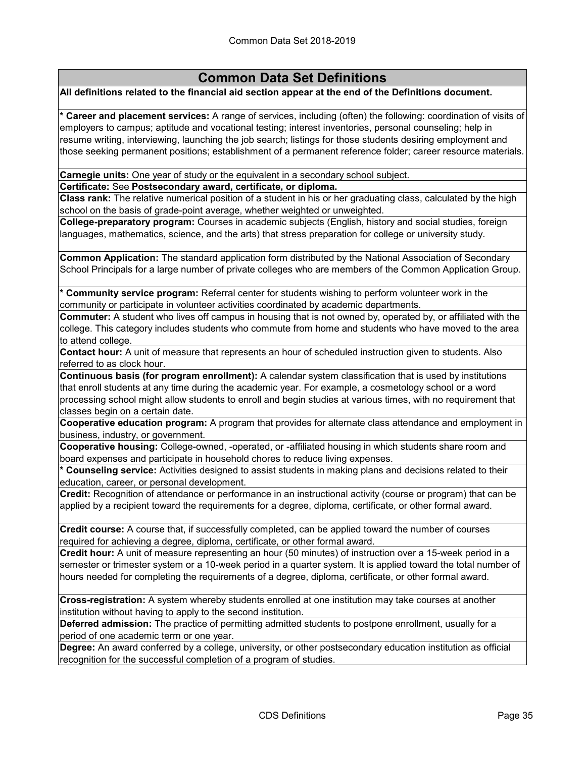#### **All definitions related to the financial aid section appear at the end of the Definitions document.**

**\* Career and placement services:** A range of services, including (often) the following: coordination of visits of employers to campus; aptitude and vocational testing; interest inventories, personal counseling; help in resume writing, interviewing, launching the job search; listings for those students desiring employment and those seeking permanent positions; establishment of a permanent reference folder; career resource materials.

#### **Carnegie units:** One year of study or the equivalent in a secondary school subject.

**Certificate:** See **Postsecondary award, certificate, or diploma.**

**Class rank:** The relative numerical position of a student in his or her graduating class, calculated by the high school on the basis of grade-point average, whether weighted or unweighted.

**College-preparatory program:** Courses in academic subjects (English, history and social studies, foreign languages, mathematics, science, and the arts) that stress preparation for college or university study.

**Common Application:** The standard application form distributed by the National Association of Secondary School Principals for a large number of private colleges who are members of the Common Application Group.

**\* Community service program:** Referral center for students wishing to perform volunteer work in the community or participate in volunteer activities coordinated by academic departments.

**Commuter:** A student who lives off campus in housing that is not owned by, operated by, or affiliated with the college. This category includes students who commute from home and students who have moved to the area to attend college.

**Contact hour:** A unit of measure that represents an hour of scheduled instruction given to students. Also referred to as clock hour.

**Continuous basis (for program enrollment):** A calendar system classification that is used by institutions that enroll students at any time during the academic year. For example, a cosmetology school or a word processing school might allow students to enroll and begin studies at various times, with no requirement that classes begin on a certain date.

**Cooperative education program:** A program that provides for alternate class attendance and employment in business, industry, or government.

**Cooperative housing:** College-owned, -operated, or -affiliated housing in which students share room and board expenses and participate in household chores to reduce living expenses.

**\* Counseling service:** Activities designed to assist students in making plans and decisions related to their education, career, or personal development.

**Credit:** Recognition of attendance or performance in an instructional activity (course or program) that can be applied by a recipient toward the requirements for a degree, diploma, certificate, or other formal award.

**Credit course:** A course that, if successfully completed, can be applied toward the number of courses required for achieving a degree, diploma, certificate, or other formal award.

**Credit hour:** A unit of measure representing an hour (50 minutes) of instruction over a 15-week period in a semester or trimester system or a 10-week period in a quarter system. It is applied toward the total number of hours needed for completing the requirements of a degree, diploma, certificate, or other formal award.

**Cross-registration:** A system whereby students enrolled at one institution may take courses at another institution without having to apply to the second institution.

**Deferred admission:** The practice of permitting admitted students to postpone enrollment, usually for a period of one academic term or one year.

**Degree:** An award conferred by a college, university, or other postsecondary education institution as official recognition for the successful completion of a program of studies.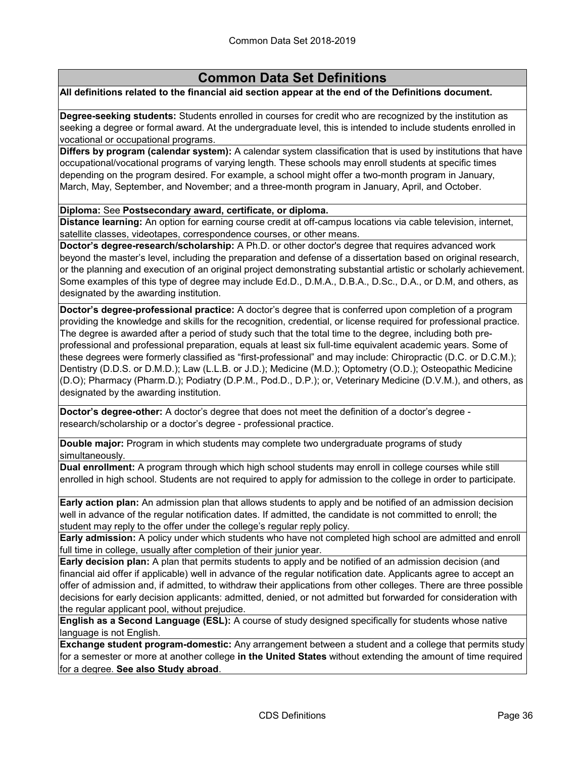#### **All definitions related to the financial aid section appear at the end of the Definitions document.**

**Degree-seeking students:** Students enrolled in courses for credit who are recognized by the institution as seeking a degree or formal award. At the undergraduate level, this is intended to include students enrolled in vocational or occupational programs.

**Differs by program (calendar system):** A calendar system classification that is used by institutions that have occupational/vocational programs of varying length. These schools may enroll students at specific times depending on the program desired. For example, a school might offer a two-month program in January, March, May, September, and November; and a three-month program in January, April, and October.

**Diploma:** See **Postsecondary award, certificate, or diploma.**

**Distance learning:** An option for earning course credit at off-campus locations via cable television, internet, satellite classes, videotapes, correspondence courses, or other means.

**Doctor's degree-research/scholarship:** A Ph.D. or other doctor's degree that requires advanced work beyond the master's level, including the preparation and defense of a dissertation based on original research, or the planning and execution of an original project demonstrating substantial artistic or scholarly achievement. Some examples of this type of degree may include Ed.D., D.M.A., D.B.A., D.Sc., D.A., or D.M, and others, as designated by the awarding institution.

**Doctor's degree-professional practice:** A doctor's degree that is conferred upon completion of a program providing the knowledge and skills for the recognition, credential, or license required for professional practice. The degree is awarded after a period of study such that the total time to the degree, including both preprofessional and professional preparation, equals at least six full-time equivalent academic years. Some of these degrees were formerly classified as "first-professional" and may include: Chiropractic (D.C. or D.C.M.); Dentistry (D.D.S. or D.M.D.); Law (L.L.B. or J.D.); Medicine (M.D.); Optometry (O.D.); Osteopathic Medicine (D.O); Pharmacy (Pharm.D.); Podiatry (D.P.M., Pod.D., D.P.); or, Veterinary Medicine (D.V.M.), and others, as designated by the awarding institution.

**Doctor's degree-other:** A doctor's degree that does not meet the definition of a doctor's degree research/scholarship or a doctor's degree - professional practice.

**Double major:** Program in which students may complete two undergraduate programs of study simultaneously.

**Dual enrollment:** A program through which high school students may enroll in college courses while still enrolled in high school. Students are not required to apply for admission to the college in order to participate.

**Early action plan:** An admission plan that allows students to apply and be notified of an admission decision well in advance of the regular notification dates. If admitted, the candidate is not committed to enroll; the student may reply to the offer under the college's regular reply policy.

**Early admission:** A policy under which students who have not completed high school are admitted and enroll full time in college, usually after completion of their junior year.

**Early decision plan:** A plan that permits students to apply and be notified of an admission decision (and financial aid offer if applicable) well in advance of the regular notification date. Applicants agree to accept an offer of admission and, if admitted, to withdraw their applications from other colleges. There are three possible decisions for early decision applicants: admitted, denied, or not admitted but forwarded for consideration with the regular applicant pool, without prejudice.

**English as a Second Language (ESL):** A course of study designed specifically for students whose native language is not English.

**Exchange student program-domestic:** Any arrangement between a student and a college that permits study for a semester or more at another college **in the United States** without extending the amount of time required for a degree. **See also Study abroad**.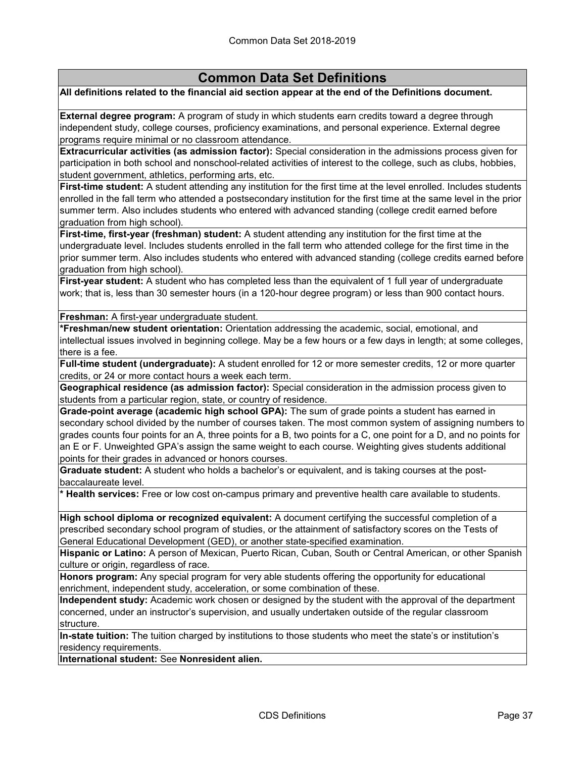#### **All definitions related to the financial aid section appear at the end of the Definitions document.**

**External degree program:** A program of study in which students earn credits toward a degree through independent study, college courses, proficiency examinations, and personal experience. External degree programs require minimal or no classroom attendance.

**Extracurricular activities (as admission factor):** Special consideration in the admissions process given for participation in both school and nonschool-related activities of interest to the college, such as clubs, hobbies, student government, athletics, performing arts, etc.

**First-time student:** A student attending any institution for the first time at the level enrolled. Includes students enrolled in the fall term who attended a postsecondary institution for the first time at the same level in the prior summer term. Also includes students who entered with advanced standing (college credit earned before graduation from high school).

**First-time, first-year (freshman) student:** A student attending any institution for the first time at the undergraduate level. Includes students enrolled in the fall term who attended college for the first time in the prior summer term. Also includes students who entered with advanced standing (college credits earned before graduation from high school).

**First-year student:** A student who has completed less than the equivalent of 1 full year of undergraduate work; that is, less than 30 semester hours (in a 120-hour degree program) or less than 900 contact hours.

**Freshman:** A first-year undergraduate student.

**\*Freshman/new student orientation:** Orientation addressing the academic, social, emotional, and intellectual issues involved in beginning college. May be a few hours or a few days in length; at some colleges, there is a fee.

**Full-time student (undergraduate):** A student enrolled for 12 or more semester credits, 12 or more quarter credits, or 24 or more contact hours a week each term.

**Geographical residence (as admission factor):** Special consideration in the admission process given to students from a particular region, state, or country of residence.

**Grade-point average (academic high school GPA):** The sum of grade points a student has earned in secondary school divided by the number of courses taken. The most common system of assigning numbers to grades counts four points for an A, three points for a B, two points for a C, one point for a D, and no points for an E or F. Unweighted GPA's assign the same weight to each course. Weighting gives students additional points for their grades in advanced or honors courses.

**Graduate student:** A student who holds a bachelor's or equivalent, and is taking courses at the postbaccalaureate level.

**\* Health services:** Free or low cost on-campus primary and preventive health care available to students.

**High school diploma or recognized equivalent:** A document certifying the successful completion of a prescribed secondary school program of studies, or the attainment of satisfactory scores on the Tests of General Educational Development (GED), or another state-specified examination.

**Hispanic or Latino:** A person of Mexican, Puerto Rican, Cuban, South or Central American, or other Spanish culture or origin, regardless of race.

**Honors program:** Any special program for very able students offering the opportunity for educational enrichment, independent study, acceleration, or some combination of these.

**Independent study:** Academic work chosen or designed by the student with the approval of the department concerned, under an instructor's supervision, and usually undertaken outside of the regular classroom structure.

**In-state tuition:** The tuition charged by institutions to those students who meet the state's or institution's residency requirements.

**International student:** See **Nonresident alien.**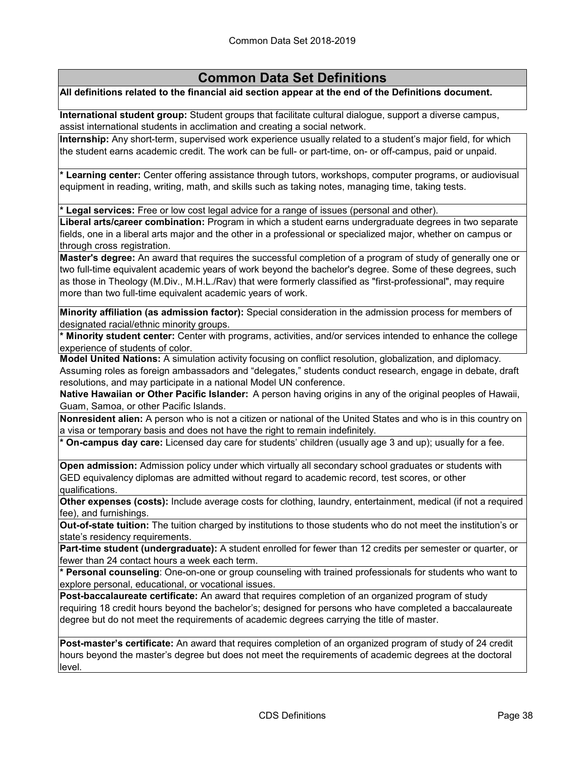**All definitions related to the financial aid section appear at the end of the Definitions document.**

**International student group:** Student groups that facilitate cultural dialogue, support a diverse campus, assist international students in acclimation and creating a social network.

**Internship:** Any short-term, supervised work experience usually related to a student's major field, for which the student earns academic credit. The work can be full- or part-time, on- or off-campus, paid or unpaid.

**\* Learning center:** Center offering assistance through tutors, workshops, computer programs, or audiovisual equipment in reading, writing, math, and skills such as taking notes, managing time, taking tests.

**\* Legal services:** Free or low cost legal advice for a range of issues (personal and other).

**Liberal arts/career combination:** Program in which a student earns undergraduate degrees in two separate fields, one in a liberal arts major and the other in a professional or specialized major, whether on campus or ‑ through cross registration.

**Master's degree:** An award that requires the successful completion of a program of study of generally one or two full-time equivalent academic years of work beyond the bachelor's degree. Some of these degrees, such as those in Theology (M.Div., M.H.L./Rav) that were formerly classified as "first-professional", may require more than two full-time equivalent academic years of work.

**Minority affiliation (as admission factor):** Special consideration in the admission process for members of designated racial/ethnic minority groups.

**\* Minority student center:** Center with programs, activities, and/or services intended to enhance the college experience of students of color.

**Model United Nations:** A simulation activity focusing on conflict resolution, globalization, and diplomacy. Assuming roles as foreign ambassadors and "delegates," students conduct research, engage in debate, draft resolutions, and may participate in a national Model UN conference.

**Native Hawaiian or Other Pacific Islander:** A person having origins in any of the original peoples of Hawaii, Guam, Samoa, or other Pacific Islands.

**Nonresident alien:** A person who is not a citizen or national of the United States and who is in this country on a visa or temporary basis and does not have the right to remain indefinitely.

**\* On-campus day care:** Licensed day care for students' children (usually age 3 and up); usually for a fee.

**Open admission:** Admission policy under which virtually all secondary school graduates or students with GED equivalency diplomas are admitted without regard to academic record, test scores, or other qualifications.

**Other expenses (costs):** Include average costs for clothing, laundry, entertainment, medical (if not a required fee), and furnishings.

**Out-of-state tuition:** The tuition charged by institutions to those students who do not meet the institution's or state's residency requirements.

**Part-time student (undergraduate):** A student enrolled for fewer than 12 credits per semester or quarter, or fewer than 24 contact hours a week each term.

**\* Personal counseling**: One-on-one or group counseling with trained professionals for students who want to explore personal, educational, or vocational issues.

**Post-baccalaureate certificate:** An award that requires completion of an organized program of study requiring 18 credit hours beyond the bachelor's; designed for persons who have completed a baccalaureate degree but do not meet the requirements of academic degrees carrying the title of master.

**Post-master's certificate:** An award that requires completion of an organized program of study of 24 credit hours beyond the master's degree but does not meet the requirements of academic degrees at the doctoral level.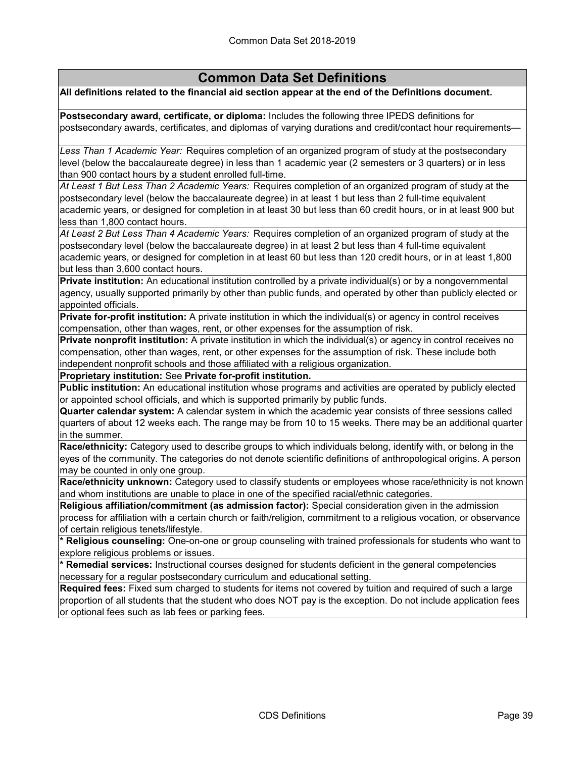**All definitions related to the financial aid section appear at the end of the Definitions document.**

**Postsecondary award, certificate, or diploma:** Includes the following three IPEDS definitions for postsecondary awards, certificates, and diplomas of varying durations and credit/contact hour requirements—

*Less Than 1 Academic Year:* Requires completion of an organized program of study at the postsecondary level (below the baccalaureate degree) in less than 1 academic year (2 semesters or 3 quarters) or in less than 900 contact hours by a student enrolled full-time.

*At Least 1 But Less Than 2 Academic Years:* Requires completion of an organized program of study at the postsecondary level (below the baccalaureate degree) in at least 1 but less than 2 full-time equivalent academic years, or designed for completion in at least 30 but less than 60 credit hours, or in at least 900 but less than 1,800 contact hours.

*At Least 2 But Less Than 4 Academic Years:* Requires completion of an organized program of study at the postsecondary level (below the baccalaureate degree) in at least 2 but less than 4 full-time equivalent academic years, or designed for completion in at least 60 but less than 120 credit hours, or in at least 1,800 but less than 3,600 contact hours.

**Private institution:** An educational institution controlled by a private individual(s) or by a nongovernmental agency, usually supported primarily by other than public funds, and operated by other than publicly elected or appointed officials.

**Private for-profit institution:** A private institution in which the individual(s) or agency in control receives compensation, other than wages, rent, or other expenses for the assumption of risk.

**Private nonprofit institution:** A private institution in which the individual(s) or agency in control receives no compensation, other than wages, rent, or other expenses for the assumption of risk. These include both independent nonprofit schools and those affiliated with a religious organization.

**Proprietary institution:** See **Private for-profit institution.**

**Public institution:** An educational institution whose programs and activities are operated by publicly elected or appointed school officials, and which is supported primarily by public funds.

**Quarter calendar system:** A calendar system in which the academic year consists of three sessions called quarters of about 12 weeks each. The range may be from 10 to 15 weeks. There may be an additional quarter in the summer.

**Race/ethnicity:** Category used to describe groups to which individuals belong, identify with, or belong in the eyes of the community. The categories do not denote scientific definitions of anthropological origins. A person may be counted in only one group.

**Race/ethnicity unknown:** Category used to classify students or employees whose race/ethnicity is not known and whom institutions are unable to place in one of the specified racial/ethnic categories.

**Religious affiliation/commitment (as admission factor):** Special consideration given in the admission process for affiliation with a certain church or faith/religion, commitment to a religious vocation, or observance of certain religious tenets/lifestyle.

**\* Religious counseling:** One-on-one or group counseling with trained professionals for students who want to explore religious problems or issues.

**\* Remedial services:** Instructional courses designed for students deficient in the general competencies necessary for a regular postsecondary curriculum and educational setting.

**Required fees:** Fixed sum charged to students for items not covered by tuition and required of such a large proportion of all students that the student who does NOT pay is the exception. Do not include application fees or optional fees such as lab fees or parking fees.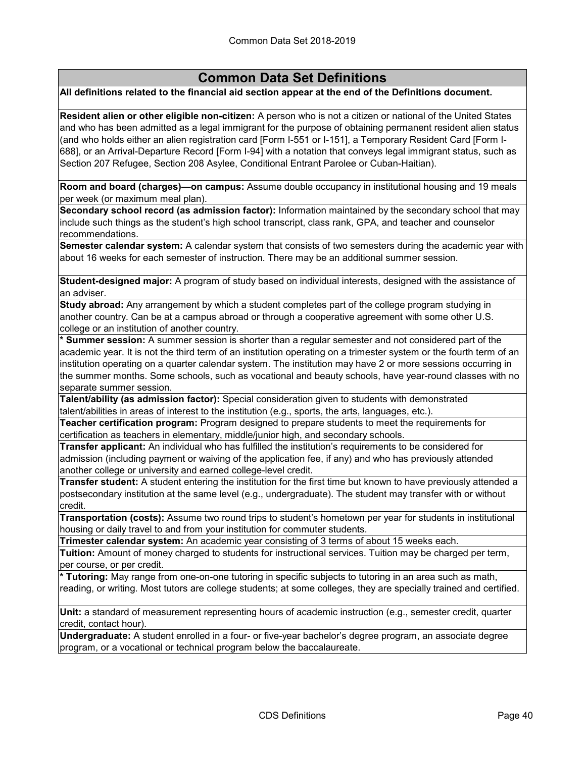#### **All definitions related to the financial aid section appear at the end of the Definitions document.**

**Resident alien or other eligible non-citizen:** A person who is not a citizen or national of the United States and who has been admitted as a legal immigrant for the purpose of obtaining permanent resident alien status (and who holds either an alien registration card [Form I-551 or I-151], a Temporary Resident Card [Form I-688], or an Arrival-Departure Record [Form I-94] with a notation that conveys legal immigrant status, such as Section 207 Refugee, Section 208 Asylee, Conditional Entrant Parolee or Cuban-Haitian).

**Room and board (charges)—on campus:** Assume double occupancy in institutional housing and 19 meals per week (or maximum meal plan).

**Secondary school record (as admission factor):** Information maintained by the secondary school that may include such things as the student's high school transcript, class rank, GPA, and teacher and counselor recommendations.

**Semester calendar system:** A calendar system that consists of two semesters during the academic year with about 16 weeks for each semester of instruction. There may be an additional summer session.

**Student-designed major:** A program of study based on individual interests, designed with the assistance of an adviser.

**Study abroad:** Any arrangement by which a student completes part of the college program studying in another country. Can be at a campus abroad or through a cooperative agreement with some other U.S. college or an institution of another country.

**\* Summer session:** A summer session is shorter than a regular semester and not considered part of the academic year. It is not the third term of an institution operating on a trimester system or the fourth term of an institution operating on a quarter calendar system. The institution may have 2 or more sessions occurring in the summer months. Some schools, such as vocational and beauty schools, have year-round classes with no separate summer session.

**Talent/ability (as admission factor):** Special consideration given to students with demonstrated talent/abilities in areas of interest to the institution (e.g., sports, the arts, languages, etc.).

**Teacher certification program:** Program designed to prepare students to meet the requirements for certification as teachers in elementary, middle/junior high, and secondary schools.

**Transfer applicant:** An individual who has fulfilled the institution's requirements to be considered for admission (including payment or waiving of the application fee, if any) and who has previously attended another college or university and earned college-level credit.

**Transfer student:** A student entering the institution for the first time but known to have previously attended a postsecondary institution at the same level (e.g., undergraduate). The student may transfer with or without credit.

**Transportation (costs):** Assume two round trips to student's hometown per year for students in institutional housing or daily travel to and from your institution for commuter students.

**Trimester calendar system:** An academic year consisting of 3 terms of about 15 weeks each.

**Tuition:** Amount of money charged to students for instructional services. Tuition may be charged per term, per course, or per credit.

**\* Tutoring:** May range from one-on-one tutoring in specific subjects to tutoring in an area such as math, reading, or writing. Most tutors are college students; at some colleges, they are specially trained and certified.

**Unit:** a standard of measurement representing hours of academic instruction (e.g., semester credit, quarter credit, contact hour).

**Undergraduate:** A student enrolled in a four- or five-year bachelor's degree program, an associate degree program, or a vocational or technical program below the baccalaureate.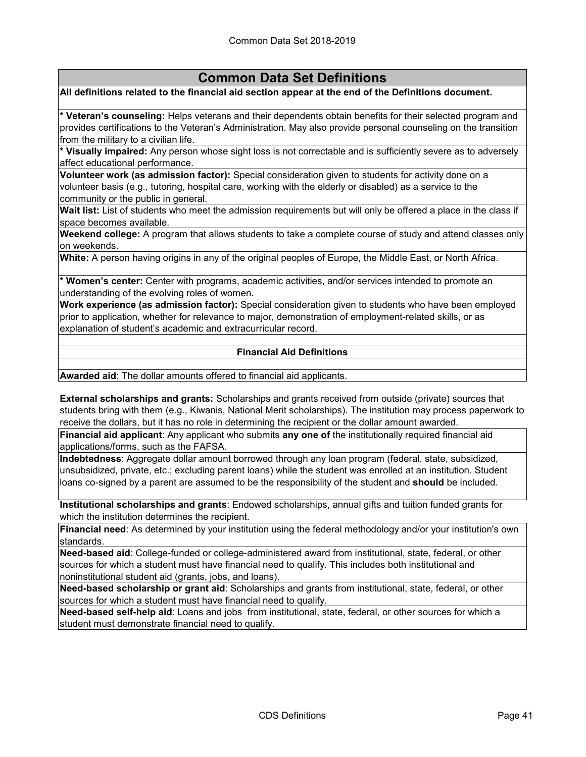#### **All definitions related to the financial aid section appear at the end of the Definitions document.**

**\* Veteran's counseling:** Helps veterans and their dependents obtain benefits for their selected program and provides certifications to the Veteran's Administration. May also provide personal counseling on the transition from the military to a civilian life.

**\* Visually impaired:** Any person whose sight loss is not correctable and is sufficiently severe as to adversely affect educational performance.

**Volunteer work (as admission factor):** Special consideration given to students for activity done on a volunteer basis (e.g., tutoring, hospital care, working with the elderly or disabled) as a service to the community or the public in general.

**Wait list:** List of students who meet the admission requirements but will only be offered a place in the class if space becomes available.

**Weekend college:** A program that allows students to take a complete course of study and attend classes only on weekends.

**White:** A person having origins in any of the original peoples of Europe, the Middle East, or North Africa.

**\* Women's center:** Center with programs, academic activities, and/or services intended to promote an understanding of the evolving roles of women.

**Work experience (as admission factor):** Special consideration given to students who have been employed prior to application, whether for relevance to major, demonstration of employment-related skills, or as explanation of student's academic and extracurricular record.

#### **Financial Aid Definitions**

**Awarded aid**: The dollar amounts offered to financial aid applicants.

**External scholarships and grants:** Scholarships and grants received from outside (private) sources that students bring with them (e.g., Kiwanis, National Merit scholarships). The institution may process paperwork to receive the dollars, but it has no role in determining the recipient or the dollar amount awarded.

**Financial aid applicant**: Any applicant who submits **any one of** the institutionally required financial aid applications/forms, such as the FAFSA.

**Indebtedness**: Aggregate dollar amount borrowed through any loan program (federal, state, subsidized, unsubsidized, private, etc.; excluding parent loans) while the student was enrolled at an institution. Student loans co-signed by a parent are assumed to be the responsibility of the student and **should** be included.

**Institutional scholarships and grants**: Endowed scholarships, annual gifts and tuition funded grants for which the institution determines the recipient.

**Financial need**: As determined by your institution using the federal methodology and/or your institution's own standards.

**Need-based aid**: College-funded or college-administered award from institutional, state, federal, or other sources for which a student must have financial need to qualify. This includes both institutional and noninstitutional student aid (grants, jobs, and loans).

**Need-based scholarship or grant aid**: Scholarships and grants from institutional, state, federal, or other sources for which a student must have financial need to qualify.

**Need-based self-help aid**: Loans and jobs from institutional, state, federal, or other sources for which a student must demonstrate financial need to qualify.